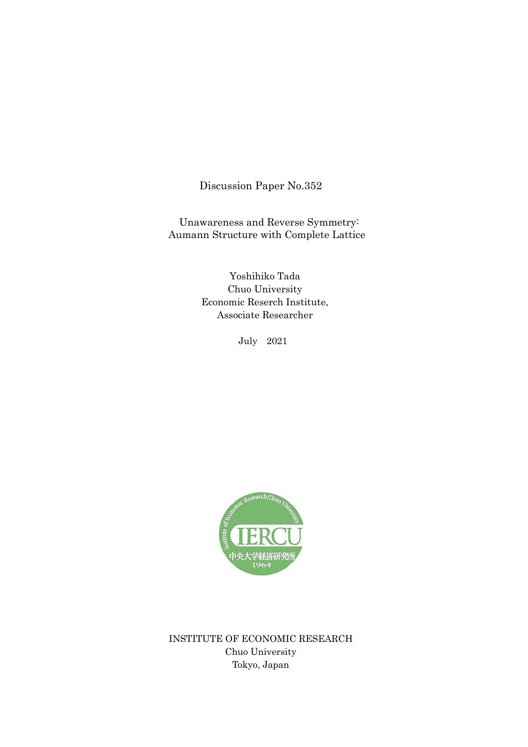Discussion Paper No.352

Unawareness and Reverse Symmetry: Aumann Structure with Complete Lattice

> Yoshihiko Tada Chuo University Economic Reserch Institute, Associate Researcher

> > July 2021



INSTITUTE OF ECONOMIC RESEARCH Chuo University Tokyo, Japan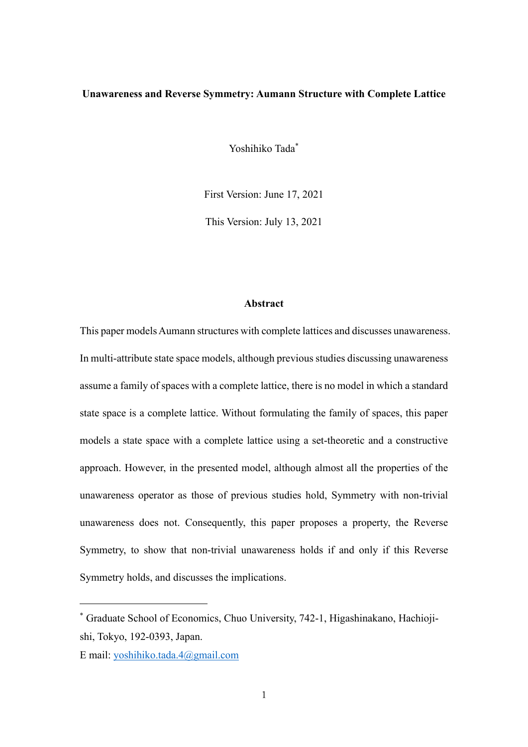## **Unawareness and Reverse Symmetry: Aumann Structure with Complete Lattice**

Yoshihiko Tada\*

First Version: June 17, 2021

This Version: July 13, 2021

#### **Abstract**

This paper models Aumann structures with complete lattices and discusses unawareness. In multi-attribute state space models, although previous studies discussing unawareness assume a family of spaces with a complete lattice, there is no model in which a standard state space is a complete lattice. Without formulating the family of spaces, this paper models a state space with a complete lattice using a set-theoretic and a constructive approach. However, in the presented model, although almost all the properties of the unawareness operator as those of previous studies hold, Symmetry with non-trivial unawareness does not. Consequently, this paper proposes a property, the Reverse Symmetry, to show that non-trivial unawareness holds if and only if this Reverse Symmetry holds, and discusses the implications.

<sup>\*</sup> Graduate School of Economics, Chuo University, 742-1, Higashinakano, Hachiojishi, Tokyo, 192-0393, Japan.

E mail: [yoshihiko.tada.4@gmail.com](mailto:yoshihiko.tada.4@gmail.com)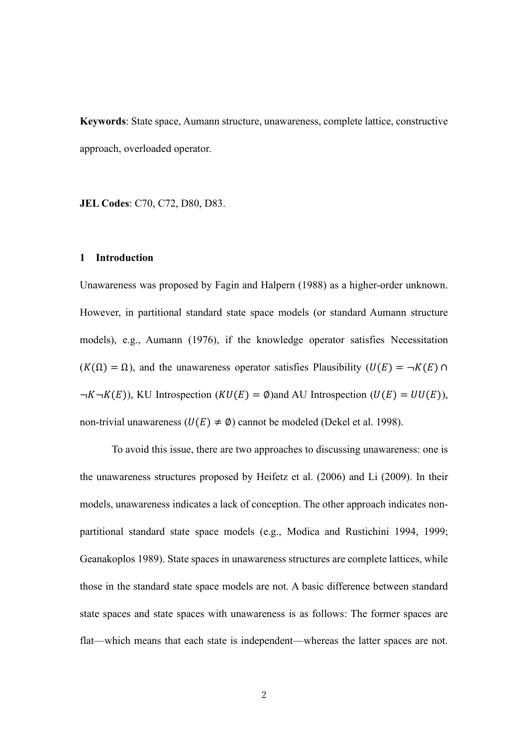**Keywords**: State space, Aumann structure, unawareness, complete lattice, constructive approach, overloaded operator.

**JEL Codes**: C70, C72, D80, D83.

## **1 Introduction**

Unawareness was proposed by Fagin and Halpern (1988) as a higher-order unknown. However, in partitional standard state space models (or standard Aumann structure models), e.g., Aumann (1976), if the knowledge operator satisfies Necessitation  $(K(\Omega) = \Omega)$ , and the unawareness operator satisfies Plausibility  $(U(E) = \neg K(E) \cap$  $\neg K \neg K(E)$ ), KU Introspection ( $KU(E) = \emptyset$ )and AU Introspection ( $U(E) = UU(E)$ ), non-trivial unawareness ( $U(E) \neq \emptyset$ ) cannot be modeled (Dekel et al. 1998).

 To avoid this issue, there are two approaches to discussing unawareness: one is the unawareness structures proposed by Heifetz et al. (2006) and Li (2009). In their models, unawareness indicates a lack of conception. The other approach indicates nonpartitional standard state space models (e.g., Modica and Rustichini 1994, 1999; Geanakoplos 1989). State spaces in unawareness structures are complete lattices, while those in the standard state space models are not. A basic difference between standard state spaces and state spaces with unawareness is as follows: The former spaces are flat—which means that each state is independent—whereas the latter spaces are not.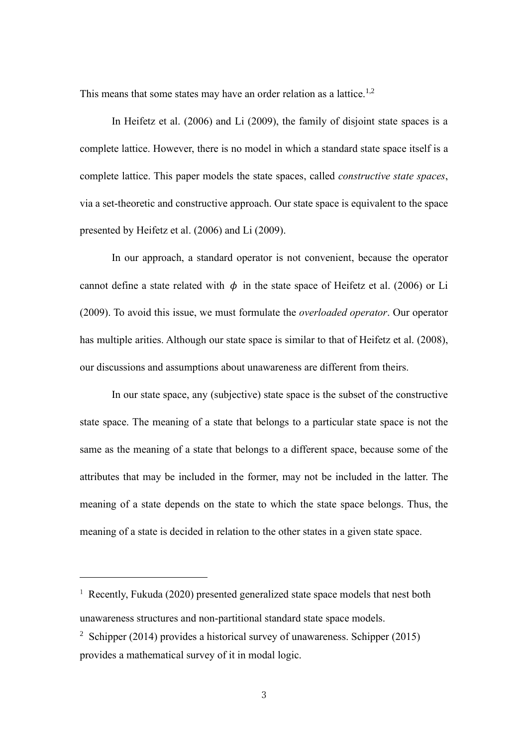This means that some states may have an order relation as a lattice.<sup>1,2</sup>

 In Heifetz et al. (2006) and Li (2009), the family of disjoint state spaces is a complete lattice. However, there is no model in which a standard state space itself is a complete lattice. This paper models the state spaces, called *constructive state spaces*, via a set-theoretic and constructive approach. Our state space is equivalent to the space presented by Heifetz et al. (2006) and Li (2009).

 In our approach, a standard operator is not convenient, because the operator cannot define a state related with  $\phi$  in the state space of Heifetz et al. (2006) or Li (2009). To avoid this issue, we must formulate the *overloaded operator*. Our operator has multiple arities. Although our state space is similar to that of Heifetz et al. (2008), our discussions and assumptions about unawareness are different from theirs.

 In our state space, any (subjective) state space is the subset of the constructive state space. The meaning of a state that belongs to a particular state space is not the same as the meaning of a state that belongs to a different space, because some of the attributes that may be included in the former, may not be included in the latter. The meaning of a state depends on the state to which the state space belongs. Thus, the meaning of a state is decided in relation to the other states in a given state space.

<sup>1</sup> Recently, Fukuda (2020) presented generalized state space models that nest both unawareness structures and non-partitional standard state space models.

<sup>&</sup>lt;sup>2</sup> Schipper (2014) provides a historical survey of unawareness. Schipper (2015) provides a mathematical survey of it in modal logic.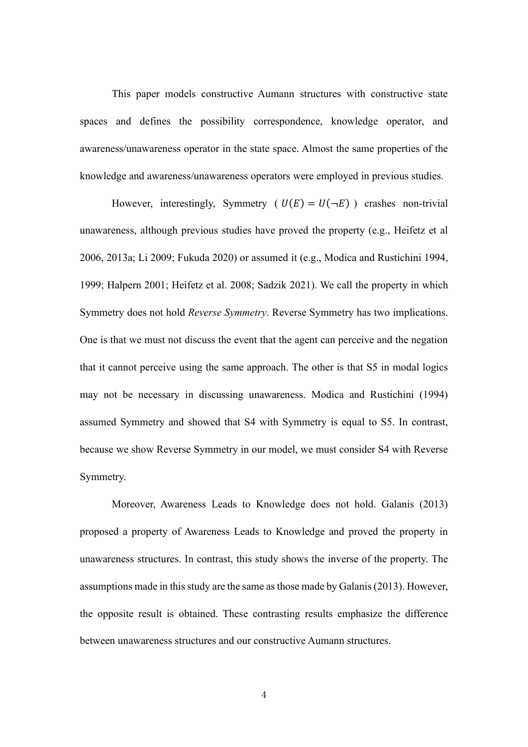This paper models constructive Aumann structures with constructive state spaces and defines the possibility correspondence, knowledge operator, and awareness/unawareness operator in the state space. Almost the same properties of the knowledge and awareness/unawareness operators were employed in previous studies.

However, interestingly, Symmetry ( $U(E) = U(\neg E)$ ) crashes non-trivial unawareness, although previous studies have proved the property (e.g., Heifetz et al 2006, 2013a; Li 2009; Fukuda 2020) or assumed it (e.g., Modica and Rustichini 1994, 1999; Halpern 2001; Heifetz et al. 2008; Sadzik 2021). We call the property in which Symmetry does not hold *Reverse Symmetry*. Reverse Symmetry has two implications. One is that we must not discuss the event that the agent can perceive and the negation that it cannot perceive using the same approach. The other is that S5 in modal logics may not be necessary in discussing unawareness. Modica and Rustichini (1994) assumed Symmetry and showed that S4 with Symmetry is equal to S5. In contrast, because we show Reverse Symmetry in our model, we must consider S4 with Reverse Symmetry.

 Moreover, Awareness Leads to Knowledge does not hold. Galanis (2013) proposed a property of Awareness Leads to Knowledge and proved the property in unawareness structures. In contrast, this study shows the inverse of the property. The assumptions made in this study are the same as those made by Galanis(2013). However, the opposite result is obtained. These contrasting results emphasize the difference between unawareness structures and our constructive Aumann structures.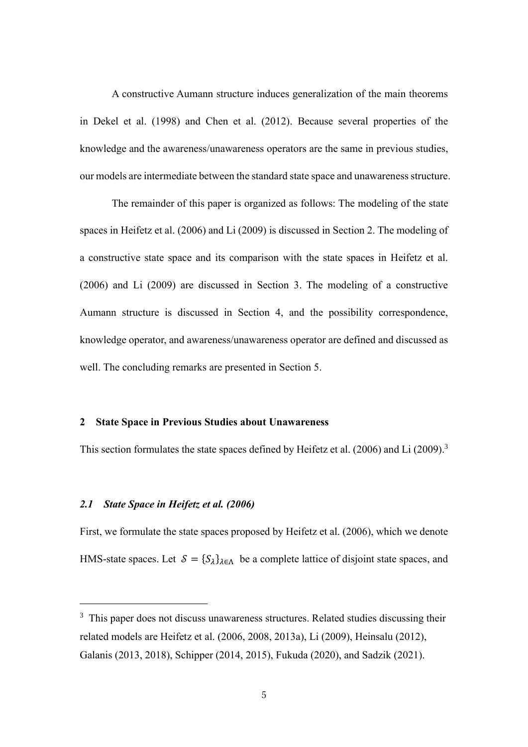A constructive Aumann structure induces generalization of the main theorems in Dekel et al. (1998) and Chen et al. (2012). Because several properties of the knowledge and the awareness/unawareness operators are the same in previous studies, our models are intermediate between the standard state space and unawareness structure.

 The remainder of this paper is organized as follows: The modeling of the state spaces in Heifetz et al. (2006) and Li (2009) is discussed in Section 2. The modeling of a constructive state space and its comparison with the state spaces in Heifetz et al. (2006) and Li (2009) are discussed in Section 3. The modeling of a constructive Aumann structure is discussed in Section 4, and the possibility correspondence, knowledge operator, and awareness/unawareness operator are defined and discussed as well. The concluding remarks are presented in Section 5.

## **2 State Space in Previous Studies about Unawareness**

This section formulates the state spaces defined by Heifetz et al. (2006) and Li (2009).<sup>3</sup>

## *2.1 State Space in Heifetz et al. (2006)*

First, we formulate the state spaces proposed by Heifetz et al. (2006), which we denote HMS-state spaces. Let  $S = \{S_{\lambda}\}_{{\lambda} \in {\Lambda}}\}$  be a complete lattice of disjoint state spaces, and

<sup>&</sup>lt;sup>3</sup> This paper does not discuss unawareness structures. Related studies discussing their related models are Heifetz et al. (2006, 2008, 2013a), Li (2009), Heinsalu (2012), Galanis (2013, 2018), Schipper (2014, 2015), Fukuda (2020), and Sadzik (2021).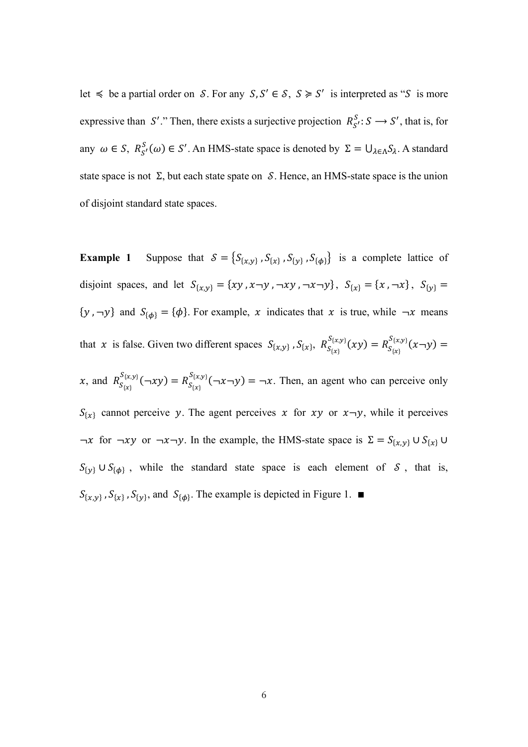let  $\leq$  be a partial order on S. For any S, S' ∈ S, S  $\geq$  S' is interpreted as "S is more expressive than S'." Then, there exists a surjective projection  $R_{S'}^S$ :  $S \rightarrow S'$ , that is, for any  $\omega \in S$ ,  $R_{S'}^{S}(\omega) \in S'$ . An HMS-state space is denoted by  $\Sigma = \bigcup_{\lambda \in \Lambda} S_{\lambda}$ . A standard state space is not  $\Sigma$ , but each state spate on  $S$ . Hence, an HMS-state space is the union of disjoint standard state spaces.

**Example 1** Suppose that  $S = \{S_{\{x,y\}}, S_{\{x\}}, S_{\{y\}}, S_{\{\phi\}}\}$  is a complete lattice of disjoint spaces, and let  $S_{\{x,y\}} = \{xy, x \neg y, \neg xy, \neg x \neg y\}$ ,  $S_{\{x\}} = \{x, \neg x\}$ ,  $S_{\{y\}} =$  $\{y, \neg y\}$  and  $S_{\{\phi\}} = \{\phi\}$ . For example, x indicates that x is true, while  $\neg x$  means that x is false. Given two different spaces  $S_{\{x,y\}}$ ,  $S_{\{x\}}$ ,  $R_{S_{\{x\}}}^{S_{\{x,y\}}}(xy) = R_{S_{\{x\}}}^{S_{\{x,y\}}}(x-y) =$ 

x, and  $R_{S_{\{x\}}}^{S_{\{x,y\}}}(-xy) = R_{S_{\{x\}}}^{S_{\{x,y\}}}(-x-y) = -x$ . Then, an agent who can perceive only  $S_{\{x\}}$  cannot perceive y. The agent perceives x for xy or  $x \rightarrow y$ , while it perceives  $\neg x$  for  $\neg xy$  or  $\neg x \neg y$ . In the example, the HMS-state space is  $\Sigma = S_{\{x,y\}} \cup S_{\{x\}} \cup$  $S_{\{y\}} \cup S_{\{\phi\}}$ , while the standard state space is each element of S, that is,  $S_{\{x,y\}}$ ,  $S_{\{x\}}$ ,  $S_{\{y\}}$ , and  $S_{\{\phi\}}$ . The example is depicted in Figure 1. ■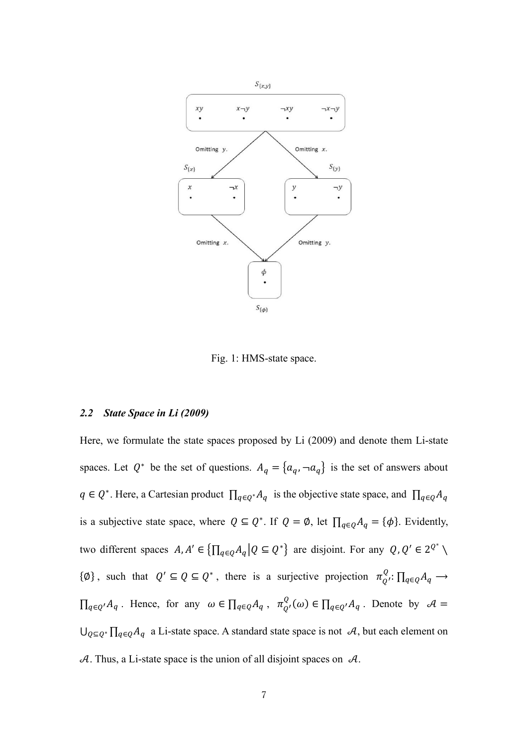

Fig. 1: HMS-state space.

## *2.2 State Space in Li (2009)*

Here, we formulate the state spaces proposed by Li (2009) and denote them Li-state spaces. Let  $Q^*$  be the set of questions.  $A_q = \{a_q, \neg a_q\}$  is the set of answers about  $q \in Q^*$ . Here, a Cartesian product  $\prod_{q \in Q^*} A_q$  is the objective state space, and  $\prod_{q \in Q} A_q$ is a subjective state space, where  $Q \subseteq Q^*$ . If  $Q = \emptyset$ , let  $\prod_{q \in Q} A_q = \{\phi\}$ . Evidently, two different spaces  $A, A' \in \left\{ \prod_{q \in Q} A_q | Q \subseteq Q^* \right\}$  are disjoint. For any  $Q, Q' \in 2^{Q^*} \setminus \mathbb{R}$  $\{\emptyset\}$ , such that  $Q' \subseteq Q \subseteq Q^*$ , there is a surjective projection  $\pi_{Q'}^Q$ :  $\prod_{q \in Q} A_q \longrightarrow$  $\prod_{q \in Q'} A_q$ . Hence, for any  $\omega \in \prod_{q \in Q} A_q$ ,  $\pi^Q_{Q'}(\omega) \in \prod_{q \in Q'} A_q$ . Denote by  $\mathcal{A} =$  $\bigcup_{Q \subseteq Q^*} \prod_{q \in Q} A_q$  a Li-state space. A standard state space is not  $\mathcal{A}$ , but each element on  $A$ . Thus, a Li-state space is the union of all disjoint spaces on  $A$ .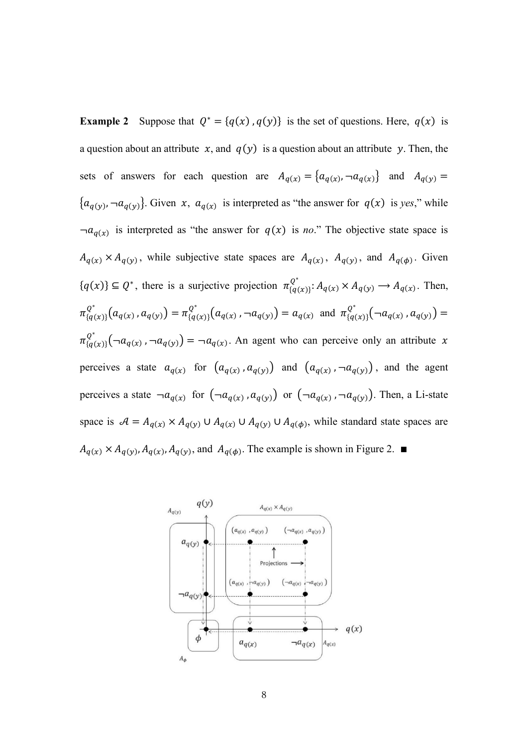**Example 2** Suppose that  $Q^* = \{q(x), q(y)\}\$ is the set of questions. Here,  $q(x)$  is a question about an attribute  $x$ , and  $q(y)$  is a question about an attribute y. Then, the sets of answers for each question are  $A_{q(x)} = \{a_{q(x)}, -a_{q(x)}\}$  and  $A_{q(y)} =$  $\{a_{q(y)}, -a_{q(y)}\}\.$  Given x,  $a_{q(x)}$  is interpreted as "the answer for  $q(x)$  is *yes*," while  $\neg a_{q(x)}$  is interpreted as "the answer for  $q(x)$  is *no*." The objective state space is  $A_{q(x)} \times A_{q(y)}$ , while subjective state spaces are  $A_{q(x)}$ ,  $A_{q(y)}$ , and  $A_{q(\phi)}$ . Given  ${q(x)} \subseteq Q^*$ , there is a surjective projection  $\pi_{\{q(x)\}}^{Q^*} : A_{q(x)} \times A_{q(y)} \longrightarrow A_{q(x)}$ . Then,  $\pi_{\{q(x)\}}^{Q^*}(a_{q(x)}, a_{q(y)}) = \pi_{\{q(x)\}}^{Q^*}(a_{q(x)}, \neg a_{q(y)}) = a_{q(x)}$  and  $\pi_{\{q(x)\}}^{Q^*}(\neg a_{q(x)}, a_{q(y)}) =$  $\pi_{\{q(x)\}}^{Q^*}(\neg a_{q(x)}, \neg a_{q(y)}) = \neg a_{q(x)}$ . An agent who can perceive only an attribute x perceives a state  $a_{q(x)}$  for  $(a_{q(x)}, a_{q(y)})$  and  $(a_{q(x)}, -a_{q(y)})$ , and the agent perceives a state  $\neg a_{q(x)}$  for  $(\neg a_{q(x)}, a_{q(y)})$  or  $(\neg a_{q(x)}, \neg a_{q(y)})$ . Then, a Li-state space is  $A = A_{q(x)} \times A_{q(y)} \cup A_{q(x)} \cup A_{q(y)} \cup A_{q(\phi)}$ , while standard state spaces are  $A_{q(x)} \times A_{q(y)}$ ,  $A_{q(x)}$ ,  $A_{q(y)}$ , and  $A_{q(\phi)}$ . The example is shown in Figure 2.

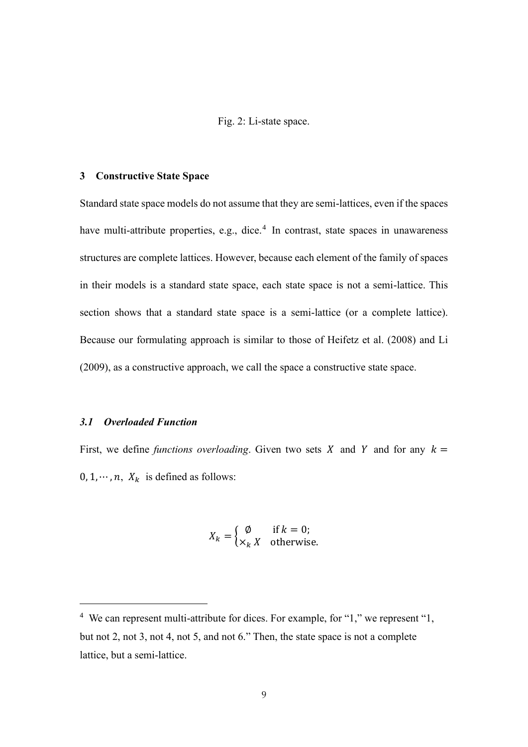#### Fig. 2: Li-state space.

#### **3 Constructive State Space**

Standard state space models do not assume that they are semi-lattices, even if the spaces have multi-attribute properties, e.g., dice.<sup>4</sup> In contrast, state spaces in unawareness structures are complete lattices. However, because each element of the family of spaces in their models is a standard state space, each state space is not a semi-lattice. This section shows that a standard state space is a semi-lattice (or a complete lattice). Because our formulating approach is similar to those of Heifetz et al. (2008) and Li (2009), as a constructive approach, we call the space a constructive state space.

## *3.1 Overloaded Function*

First, we define *functions overloading*. Given two sets  $X$  and  $Y$  and for any  $k =$ 0, 1,  $\cdots$ , *n*,  $X_k$  is defined as follows:

$$
X_k = \begin{cases} \emptyset & \text{if } k = 0; \\ \times_k X & \text{otherwise.} \end{cases}
$$

<sup>4</sup> We can represent multi-attribute for dices. For example, for "1," we represent "1, but not 2, not 3, not 4, not 5, and not 6." Then, the state space is not a complete lattice, but a semi-lattice.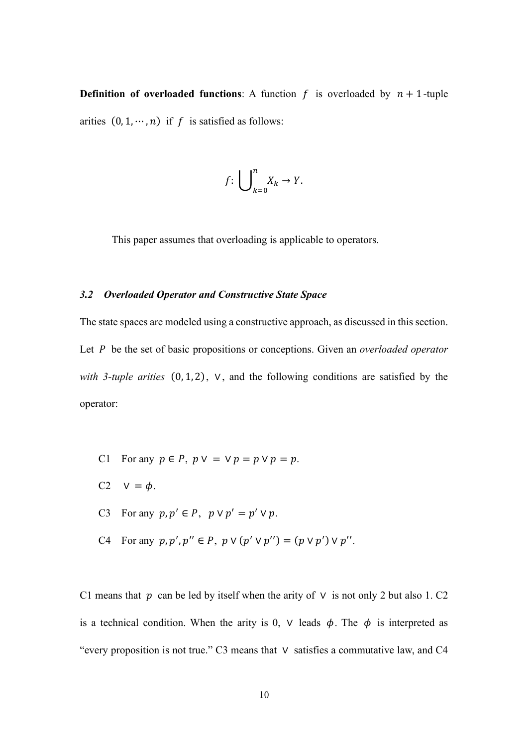**Definition of overloaded functions:** A function  $f$  is overloaded by  $n + 1$ -tuple arities  $(0, 1, \dots, n)$  if f is satisfied as follows:

$$
f\colon \bigcup\nolimits_{k=0}^n X_k \to Y.
$$

This paper assumes that overloading is applicable to operators.

#### *3.2 Overloaded Operator and Constructive State Space*

The state spaces are modeled using a constructive approach, as discussed in this section. Let *P* be the set of basic propositions or conceptions. Given an *overloaded operator with 3-tuple arities* (0, 1, 2),  $V$ , and the following conditions are satisfied by the operator:

- C1 For any  $p \in P$ ,  $p \vee = \vee p = p \vee p = p$ .
- C2  $V = \phi$ .
- C3 For any  $p, p' \in P$ ,  $p \vee p' = p' \vee p$ .
- C4 For any  $p, p', p'' \in P$ ,  $p \vee (p' \vee p'') = (p \vee p') \vee p''$ .

C1 means that  $p$  can be led by itself when the arity of  $\vee$  is not only 2 but also 1. C2 is a technical condition. When the arity is 0,  $\vee$  leads  $\phi$ . The  $\phi$  is interpreted as "every proposition is not true." C3 means that ∨ satisfies a commutative law, and C4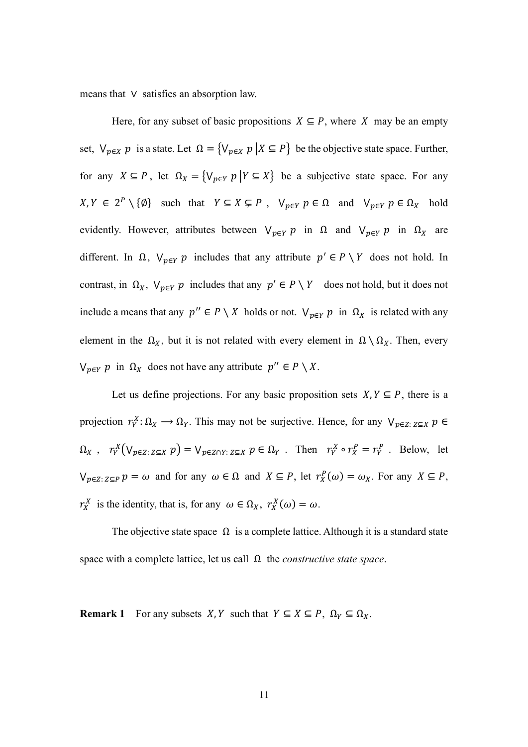means that ∨ satisfies an absorption law.

Here, for any subset of basic propositions  $X \subseteq P$ , where X may be an empty set,  $V_{p \in X}$  *p* is a state. Let  $\Omega = \{V_{p \in X} p | X \subseteq P\}$  be the objective state space. Further, for any  $X \subseteq P$ , let  $\Omega_X = \{ \vee_{p \in Y} p \mid Y \subseteq X \}$  be a subjective state space. For any  $X, Y \in 2^P \setminus \{\emptyset\}$  such that  $Y \subseteq X \subsetneq P$ ,  $V_{p \in Y} p \in \Omega$  and  $V_{p \in Y} p \in \Omega_X$  hold evidently. However, attributes between  $V_{p \in Y}$  p in  $\Omega$  and  $V_{p \in Y}$  p in  $\Omega_X$  are different. In  $\Omega$ ,  $\vee_{p \in Y} p$  includes that any attribute  $p' \in P \setminus Y$  does not hold. In contrast, in  $\Omega_X$ ,  $\vee_{p \in Y} p$  includes that any  $p' \in P \setminus Y$  does not hold, but it does not include a means that any  $p'' \in P \setminus X$  holds or not.  $\bigvee_{p \in Y} p$  in  $\Omega_X$  is related with any element in the  $\Omega_X$ , but it is not related with every element in  $\Omega \setminus \Omega_X$ . Then, every  $\bigvee_{p \in Y} p$  in  $\Omega_X$  does not have any attribute  $p'' \in P \setminus X$ .

Let us define projections. For any basic proposition sets  $X, Y \subseteq P$ , there is a projection  $r_Y^X: \Omega_X \to \Omega_Y$ . This may not be surjective. Hence, for any  $\bigvee_{p \in Z: Z \subseteq X} p \in$  $\Omega_X$ ,  $r_Y^X(\vee_{p \in Z: Z \subseteq X} p) = \vee_{p \in Z \cap Y: Z \subseteq X} p \in \Omega_Y$ . Then  $r_Y^X \circ r_X^P = r_Y^P$ . Below, let  $\bigvee_{p\in Z:\,Z\subseteq P}p=\omega$  and for any  $\omega\in\Omega$  and  $X\subseteq P$ , let  $r_X^P(\omega)=\omega_X$ . For any  $X\subseteq P$ ,  $r_X^X$  is the identity, that is, for any  $\omega \in \Omega_X$ ,  $r_X^X(\omega) = \omega$ .

The objective state space  $\Omega$  is a complete lattice. Although it is a standard state space with a complete lattice, let us call Ω the *constructive state space*.

**Remark 1** For any subsets  $X, Y$  such that  $Y \subseteq X \subseteq P$ ,  $\Omega_Y \subseteq \Omega_X$ .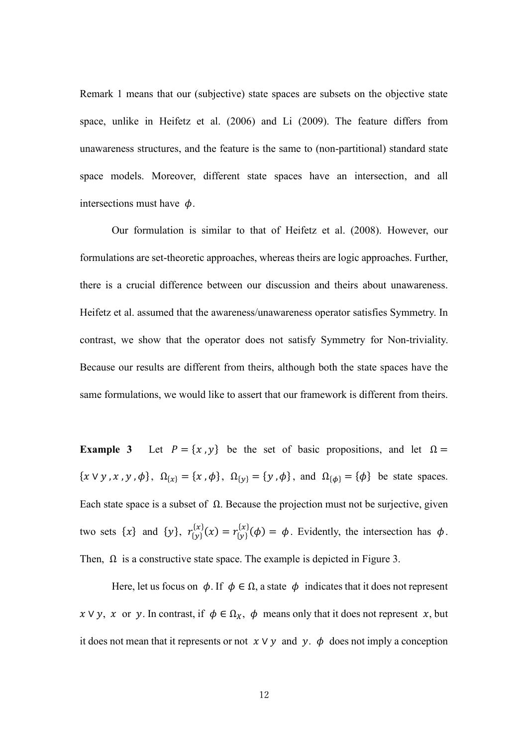Remark 1 means that our (subjective) state spaces are subsets on the objective state space, unlike in Heifetz et al. (2006) and Li (2009). The feature differs from unawareness structures, and the feature is the same to (non-partitional) standard state space models. Moreover, different state spaces have an intersection, and all intersections must have  $\phi$ .

 Our formulation is similar to that of Heifetz et al. (2008). However, our formulations are set-theoretic approaches, whereas theirs are logic approaches. Further, there is a crucial difference between our discussion and theirs about unawareness. Heifetz et al. assumed that the awareness/unawareness operator satisfies Symmetry. In contrast, we show that the operator does not satisfy Symmetry for Non-triviality. Because our results are different from theirs, although both the state spaces have the same formulations, we would like to assert that our framework is different from theirs.

**Example 3** Let  $P = \{x, y\}$  be the set of basic propositions, and let  $\Omega =$  $\{x \vee y, x, y, \phi\}, \ \Omega_{\{x\}} = \{x, \phi\}, \ \Omega_{\{y\}} = \{y, \phi\}, \text{ and } \Omega_{\{\phi\}} = \{\phi\} \text{ be state spaces.}$ Each state space is a subset of  $\Omega$ . Because the projection must not be surjective, given two sets  $\{x\}$  and  $\{y\}$ ,  $r_{\{y\}}^{\{x\}}(x) = r_{\{y\}}^{\{x\}}(\phi) = \phi$ . Evidently, the intersection has  $\phi$ . Then,  $\Omega$  is a constructive state space. The example is depicted in Figure 3.

Here, let us focus on  $\phi$ . If  $\phi \in \Omega$ , a state  $\phi$  indicates that it does not represent  $x \vee y$ ,  $x$  or  $y$ . In contrast, if  $\phi \in \Omega_X$ ,  $\phi$  means only that it does not represent  $x$ , but it does not mean that it represents or not  $x \vee y$  and y.  $\phi$  does not imply a conception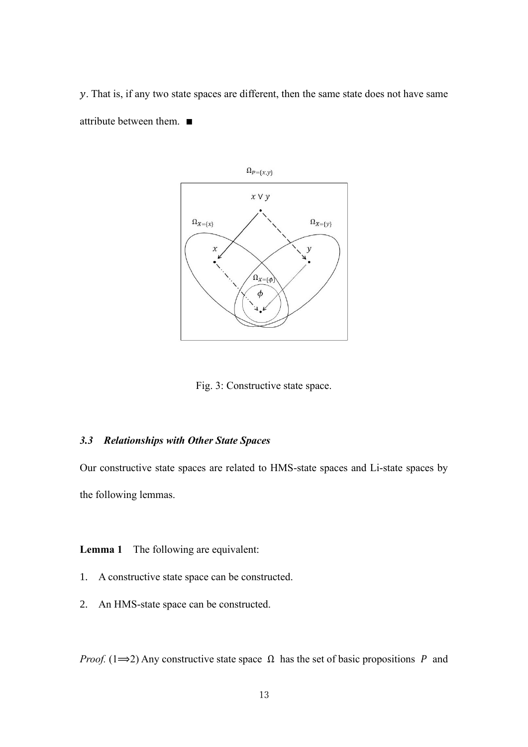. That is, if any two state spaces are different, then the same state does not have same attribute between them. ∎



Fig. 3: Constructive state space.

## *3.3 Relationships with Other State Spaces*

Our constructive state spaces are related to HMS-state spaces and Li-state spaces by the following lemmas.

**Lemma 1** The following are equivalent:

- 1. A constructive state space can be constructed.
- 2. An HMS-state space can be constructed.

*Proof.* (1 $\Rightarrow$ 2) Any constructive state space  $\Omega$  has the set of basic propositions P and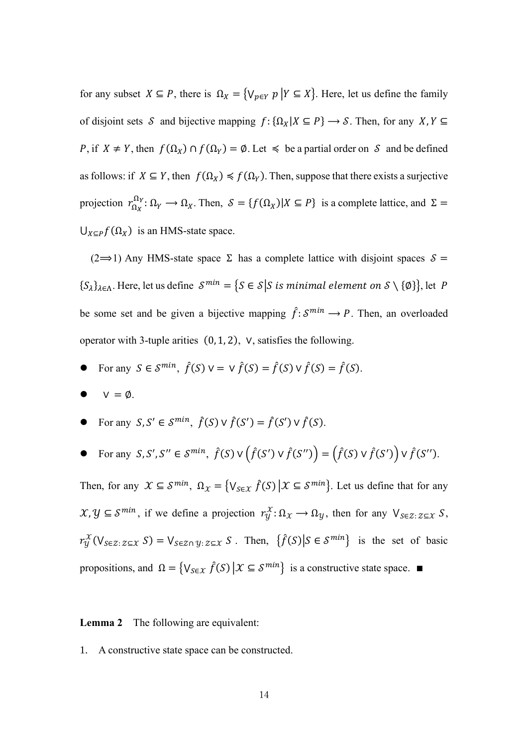for any subset  $X \subseteq P$ , there is  $\Omega_X = \{ \vee_{p \in Y} p \mid Y \subseteq X \}$ . Here, let us define the family of disjoint sets  $S$  and bijective mapping  $f: \{\Omega_X | X \subseteq P\} \longrightarrow S$ . Then, for any  $X, Y \subseteq$ P, if  $X \neq Y$ , then  $f(\Omega_X) \cap f(\Omega_Y) = \emptyset$ . Let  $\preccurlyeq$  be a partial order on S and be defined as follows: if  $X \subseteq Y$ , then  $f(\Omega_X) \leq f(\Omega_Y)$ . Then, suppose that there exists a surjective projection  $r_{\Omega_X}^{\Omega_Y} : \Omega_Y \to \Omega_X$ . Then,  $S = \{f(\Omega_X) | X \subseteq P\}$  is a complete lattice, and  $\Sigma =$  $\bigcup_{X \subseteq P} f(\Omega_X)$  is an HMS-state space.

(2 $\Rightarrow$ 1) Any HMS-state space Σ has a complete lattice with disjoint spaces  $\delta$  =  $\{S_{\lambda}\}_{{\lambda}\in {\Lambda}}$ . Here, let us define  $S^{min} = \{S \in S | S \text{ is minimal element on } S \setminus \{\emptyset\}\}\)$ , let P be some set and be given a bijective mapping  $\hat{f}: S^{min} \to P$ . Then, an overloaded operator with 3-tuple arities (0, 1, 2), ∨, satisfies the following.

• For any  $S \in \mathcal{S}^{min}$ ,  $\hat{f}(S) \vee \{ \vee \hat{f}(S) = \hat{f}(S) \vee \hat{f}(S) = \hat{f}(S)$ .

$$
\bullet \qquad \vee = \emptyset.
$$

• For any  $S, S' \in \mathcal{S}^{min}$ ,  $\hat{f}(S) \vee \hat{f}(S') = \hat{f}(S') \vee \hat{f}(S)$ .

• For any 
$$
S, S', S'' \in S^{min}, \hat{f}(S) \vee (\hat{f}(S') \vee \hat{f}(S'')) = (\hat{f}(S) \vee \hat{f}(S')) \vee \hat{f}(S'').
$$

Then, for any  $\mathcal{X} \subseteq \mathcal{S}^{min}$ ,  $\Omega_{\mathcal{X}} = \{V_{\mathcal{S} \in \mathcal{X}} \hat{f}(S) | \mathcal{X} \subseteq \mathcal{S}^{min}\}$ . Let us define that for any  $\mathcal{X}, \mathcal{Y} \subseteq \mathcal{S}^{min}$ , if we define a projection  $r_{\mathcal{Y}}^{\mathcal{X}}: \Omega_{\mathcal{X}} \to \Omega_{\mathcal{Y}}$ , then for any  $\bigvee_{S \in \mathcal{Z} : Z \subseteq \mathcal{X}} S$ ,  $r_{\mathcal{Y}}^{\mathcal{X}}(\vee_{S \in \mathcal{Z}: Z \subseteq \mathcal{X}} S) = \vee_{S \in \mathcal{Z} \cap \mathcal{Y}: Z \subseteq \mathcal{X}} S$ . Then,  $\{\hat{f}(S) | S \in \mathcal{S}^{min}\}\$ is the set of basic propositions, and  $\Omega = \{ V_{S \in \mathcal{X}} \hat{f}(S) | \mathcal{X} \subseteq S^{min} \}$  is a constructive state space.  $\blacksquare$ 

#### **Lemma 2** The following are equivalent:

1. A constructive state space can be constructed.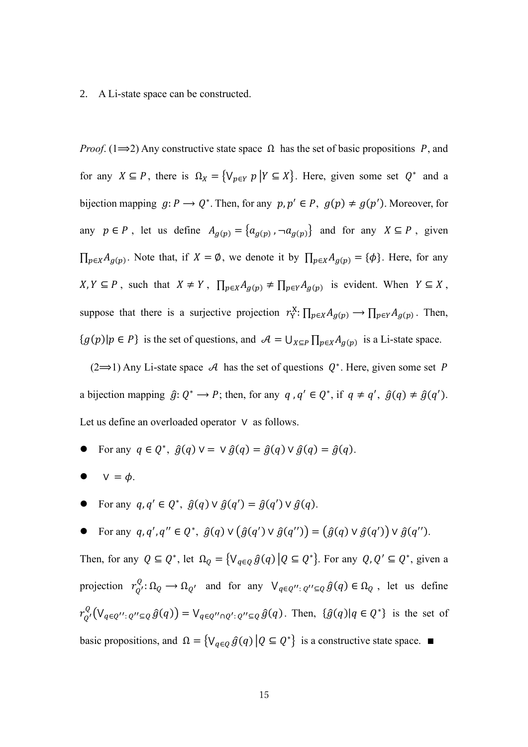2. A Li-state space can be constructed.

*Proof.* (1 $\Rightarrow$ 2) Any constructive state space  $\Omega$  has the set of basic propositions P, and for any  $X \subseteq P$ , there is  $\Omega_X = \{ \vee_{p \in Y} p \mid Y \subseteq X \}$ . Here, given some set  $Q^*$  and a bijection mapping  $g: P \to Q^*$ . Then, for any  $p, p' \in P$ ,  $g(p) \neq g(p')$ . Moreover, for any  $p \in P$ , let us define  $A_{g(p)} = \{a_{g(p)}, \neg a_{g(p)}\}$  and for any  $X \subseteq P$ , given  $\prod_{p\in X}A_{g(p)}$ . Note that, if  $X = \emptyset$ , we denote it by  $\prod_{p\in X}A_{g(p)} = {\emptyset}$ . Here, for any  $X, Y \subseteq P$ , such that  $X \neq Y$ ,  $\prod_{p \in X} A_{g(p)} \neq \prod_{p \in Y} A_{g(p)}$  is evident. When  $Y \subseteq X$ , suppose that there is a surjective projection  $r_Y^X: \prod_{p\in X} A_{g(p)} \to \prod_{p\in Y} A_{g(p)}$ . Then,  ${g(p)|p \in P}$  is the set of questions, and  $\mathcal{A} = \bigcup_{X \subseteq P} \prod_{p \in X} A_{g(p)}$  is a Li-state space.

 $(2\rightarrow)$  Any Li-state space A has the set of questions  $Q^*$ . Here, given some set P a bijection mapping  $\hat{g} \colon Q^* \to P$ ; then, for any  $q, q' \in Q^*$ , if  $q \neq q'$ ,  $\hat{g}(q) \neq \hat{g}(q')$ . Let us define an overloaded operator ∨ as follows.

- For any  $q \in Q^*$ ,  $\hat{g}(q) \vee = \vee \hat{g}(q) = \hat{g}(q) \vee \hat{g}(q) = \hat{g}(q)$ .
- $\bullet \quad \vee = \phi.$
- For any  $q, q' \in Q^*$ ,  $\hat{g}(q) \vee \hat{g}(q') = \hat{g}(q') \vee \hat{g}(q)$ .
- For any  $q, q', q'' \in Q^*$ ,  $\hat{g}(q) \vee (\hat{g}(q') \vee \hat{g}(q'')) = (\hat{g}(q) \vee \hat{g}(q')) \vee \hat{g}(q'')$ .

Then, for any  $Q \subseteq Q^*$ , let  $\Omega_Q = \{ V_{q \in Q} \hat{g}(q) | Q \subseteq Q^* \}$ . For any  $Q, Q' \subseteq Q^*$ , given a projection  $r_Q^Q$ :  $\Omega_Q \to \Omega_{Q'}$  and for any  $V_{q \in Q'' : Q'' \subseteq Q}$   $\hat{g}(q) \in \Omega_Q$ , let us define  $r_{Q'}^Q(\vee_{q \in Q'' : Q'' \subseteq Q} \hat{g}(q)) = \vee_{q \in Q'' \cap Q' : Q'' \subseteq Q} \hat{g}(q)$ . Then,  $\{\hat{g}(q) | q \in Q^*\}$  is the set of basic propositions, and  $\Omega = \{ V_{q \in Q} \hat{g}(q) | Q \subseteq Q^* \}$  is a constructive state space.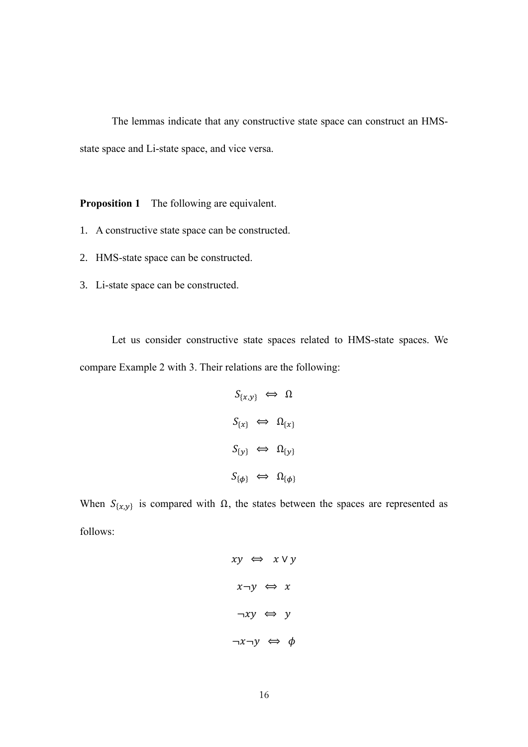The lemmas indicate that any constructive state space can construct an HMSstate space and Li-state space, and vice versa.

**Proposition 1** The following are equivalent.

- 1. A constructive state space can be constructed.
- 2. HMS-state space can be constructed.
- 3. Li-state space can be constructed.

 Let us consider constructive state spaces related to HMS-state spaces. We compare Example 2 with 3. Their relations are the following:

$$
S_{\{x,y\}} \iff \Omega
$$
  

$$
S_{\{x\}} \iff \Omega_{\{x\}}
$$
  

$$
S_{\{y\}} \iff \Omega_{\{y\}}
$$
  

$$
S_{\{\phi\}} \iff \Omega_{\{\phi\}}
$$

When  $S_{\{x,y\}}$  is compared with  $\Omega$ , the states between the spaces are represented as follows:

$$
xy \Leftrightarrow x \vee y
$$

$$
x \neg y \Leftrightarrow x
$$

$$
\neg xy \Leftrightarrow y
$$

$$
\neg x \neg y \Leftrightarrow \phi
$$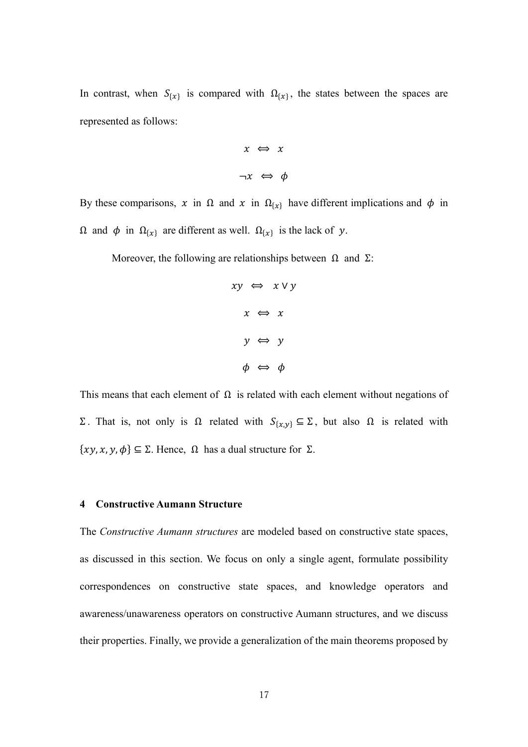In contrast, when  $S_{\{x\}}$  is compared with  $\Omega_{\{x\}}$ , the states between the spaces are represented as follows:

$$
x \iff x
$$
  

$$
\neg x \iff \phi
$$

By these comparisons, x in  $\Omega$  and x in  $\Omega_{\{x\}}$  have different implications and  $\phi$  in  $Ω$  and  $φ$  in  $Ω_{\{x\}}$  are different as well.  $Ω_{\{x\}}$  is the lack of y.

Moreover, the following are relationships between  $\Omega$  and  $\Sigma$ :

$$
xy \Leftrightarrow x \lor y
$$

$$
x \Leftrightarrow x
$$

$$
y \Leftrightarrow y
$$

$$
\phi \Leftrightarrow \phi
$$

This means that each element of  $\Omega$  is related with each element without negations of Σ. That is, not only is  $\Omega$  related with  $S_{\{x,y\}} \subseteq \Sigma$ , but also  $\Omega$  is related with  $\{xy, x, y, \phi\} \subseteq \Sigma$ . Hence,  $\Omega$  has a dual structure for  $\Sigma$ .

## **4 Constructive Aumann Structure**

The *Constructive Aumann structures* are modeled based on constructive state spaces, as discussed in this section. We focus on only a single agent, formulate possibility correspondences on constructive state spaces, and knowledge operators and awareness/unawareness operators on constructive Aumann structures, and we discuss their properties. Finally, we provide a generalization of the main theorems proposed by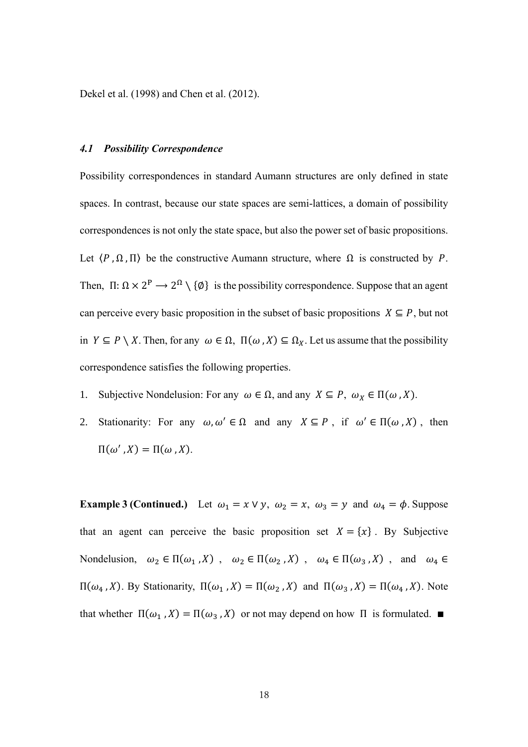Dekel et al. (1998) and Chen et al. (2012).

#### *4.1 Possibility Correspondence*

Possibility correspondences in standard Aumann structures are only defined in state spaces. In contrast, because our state spaces are semi-lattices, a domain of possibility correspondences is not only the state space, but also the power set of basic propositions. Let  $\langle P, \Omega, \Pi \rangle$  be the constructive Aumann structure, where  $\Omega$  is constructed by P. Then,  $\Pi: \Omega \times 2^P \to 2^{\Omega} \setminus \{\emptyset\}$  is the possibility correspondence. Suppose that an agent can perceive every basic proposition in the subset of basic propositions  $X \subseteq P$ , but not in  $Y \subseteq P \setminus X$ . Then, for any  $\omega \in \Omega$ ,  $\Pi(\omega, X) \subseteq \Omega_X$ . Let us assume that the possibility correspondence satisfies the following properties.

- 1. Subjective Nondelusion: For any  $\omega \in \Omega$ , and any  $X \subseteq P$ ,  $\omega_X \in \Pi(\omega, X)$ .
- 2. Stationarity: For any  $\omega, \omega' \in \Omega$  and any  $X \subseteq P$ , if  $\omega' \in \Pi(\omega, X)$ , then  $\Pi(\omega', X) = \Pi(\omega, X).$

**Example 3 (Continued.)** Let  $\omega_1 = x \vee y$ ,  $\omega_2 = x$ ,  $\omega_3 = y$  and  $\omega_4 = \phi$ . Suppose that an agent can perceive the basic proposition set  $X = \{x\}$ . By Subjective Nondelusion,  $\omega_2 \in \Pi(\omega_1, X)$ ,  $\omega_2 \in \Pi(\omega_2, X)$ ,  $\omega_4 \in \Pi(\omega_3, X)$ , and  $\omega_4 \in$  $\Pi(\omega_4, X)$ . By Stationarity,  $\Pi(\omega_1, X) = \Pi(\omega_2, X)$  and  $\Pi(\omega_3, X) = \Pi(\omega_4, X)$ . Note that whether  $\Pi(\omega_1, X) = \Pi(\omega_3, X)$  or not may depend on how  $\Pi$  is formulated. ■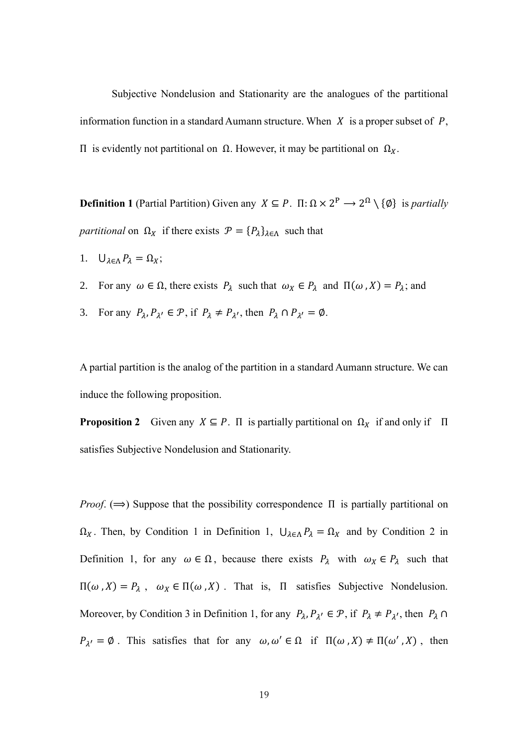Subjective Nondelusion and Stationarity are the analogues of the partitional information function in a standard Aumann structure. When  $X$  is a proper subset of  $P$ , Π is evidently not partitional on  $Ω$ . However, it may be partitional on  $Ω<sub>X</sub>$ .

**Definition 1** (Partial Partition) Given any  $X \subseteq P$ .  $\Pi$ :  $\Omega \times 2^P \rightarrow 2^{\Omega} \setminus \{\emptyset\}$  is *partially partitional* on  $\Omega_X$  if there exists  $\mathcal{P} = \{P_\lambda\}_{\lambda \in \Lambda}$  such that

- 1.  $\bigcup_{\lambda \in \Lambda} P_{\lambda} = \Omega_{X};$
- 2. For any  $\omega \in \Omega$ , there exists  $P_{\lambda}$  such that  $\omega_X \in P_{\lambda}$  and  $\Pi(\omega, X) = P_{\lambda}$ ; and
- 3. For any  $P_{\lambda}, P_{\lambda'} \in \mathcal{P}$ , if  $P_{\lambda} \neq P_{\lambda'}$ , then  $P_{\lambda} \cap P_{\lambda'} = \emptyset$ .

A partial partition is the analog of the partition in a standard Aumann structure. We can induce the following proposition.

**Proposition 2** Given any  $X \subseteq P$ . Π is partially partitional on  $\Omega_X$  if and only if Π satisfies Subjective Nondelusion and Stationarity.

*Proof.*  $(\implies)$  Suppose that the possibility correspondence  $\Pi$  is partially partitional on  $\Omega_X$ . Then, by Condition 1 in Definition 1,  $\bigcup_{\lambda \in \Lambda} P_{\lambda} = \Omega_X$  and by Condition 2 in Definition 1, for any  $\omega \in \Omega$ , because there exists  $P_{\lambda}$  with  $\omega_{X} \in P_{\lambda}$  such that  $\Pi(\omega, X) = P_{\lambda}$ ,  $\omega_X \in \Pi(\omega, X)$ . That is,  $\Pi$  satisfies Subjective Nondelusion. Moreover, by Condition 3 in Definition 1, for any  $P_{\lambda}, P_{\lambda'} \in \mathcal{P}$ , if  $P_{\lambda} \neq P_{\lambda'}$ , then  $P_{\lambda} \cap$  $P_{\lambda'} = \emptyset$ . This satisfies that for any  $\omega, \omega' \in \Omega$  if  $\Pi(\omega, X) \neq \Pi(\omega', X)$ , then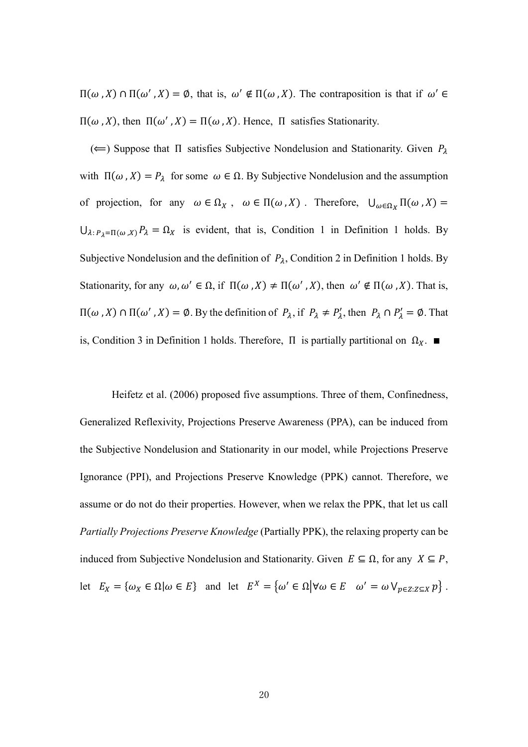$\Pi(\omega, X) \cap \Pi(\omega', X) = \emptyset$ , that is,  $\omega' \notin \Pi(\omega, X)$ . The contraposition is that if  $\omega' \in$  $\Pi(\omega, X)$ , then  $\Pi(\omega', X) = \Pi(\omega, X)$ . Hence,  $\Pi$  satisfies Stationarity.

( $\Leftarrow$ ) Suppose that  $\Pi$  satisfies Subjective Nondelusion and Stationarity. Given  $P_{\lambda}$ with  $\Pi(\omega, X) = P_{\lambda}$  for some  $\omega \in \Omega$ . By Subjective Nondelusion and the assumption of projection, for any  $\omega \in \Omega_X$ ,  $\omega \in \Pi(\omega, X)$ . Therefore,  $\bigcup_{\omega \in \Omega_X} \Pi(\omega, X) =$  $\bigcup_{\lambda: P_{\lambda} = \Pi(\omega, X)} P_{\lambda} = \Omega_X$  is evident, that is, Condition 1 in Definition 1 holds. By Subjective Nondelusion and the definition of  $P_{\lambda}$ , Condition 2 in Definition 1 holds. By Stationarity, for any  $\omega, \omega' \in \Omega$ , if  $\Pi(\omega, X) \neq \Pi(\omega', X)$ , then  $\omega' \notin \Pi(\omega, X)$ . That is,  $\Pi(\omega, X)$  ∩  $\Pi(\omega', X) = \emptyset$ . By the definition of  $P_\lambda$ , if  $P_\lambda \neq P'_\lambda$ , then  $P_\lambda \cap P'_\lambda = \emptyset$ . That is, Condition 3 in Definition 1 holds. Therefore,  $\Pi$  is partially partitional on  $\Omega_X$ . ■

 Heifetz et al. (2006) proposed five assumptions. Three of them, Confinedness, Generalized Reflexivity, Projections Preserve Awareness (PPA), can be induced from the Subjective Nondelusion and Stationarity in our model, while Projections Preserve Ignorance (PPI), and Projections Preserve Knowledge (PPK) cannot. Therefore, we assume or do not do their properties. However, when we relax the PPK, that let us call *Partially Projections Preserve Knowledge* (Partially PPK), the relaxing property can be induced from Subjective Nondelusion and Stationarity. Given  $E \subseteq \Omega$ , for any  $X \subseteq P$ , let  $E_X = {\omega_X \in \Omega | \omega \in E}$  and let  $E^X = {\omega' \in \Omega | \forall \omega \in E \ \omega' = \omega \vee_{p \in Z : Z \subseteq X} p}$ .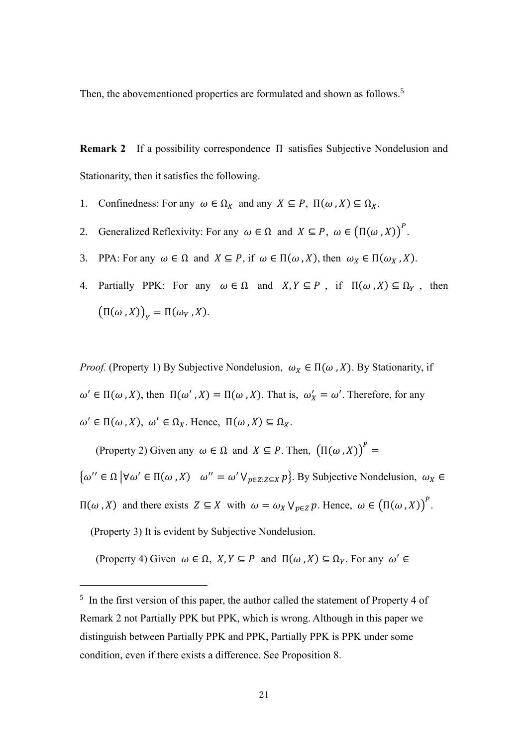Then, the abovementioned properties are formulated and shown as follows.<sup>5</sup>

**Remark 2** If a possibility correspondence Π satisfies Subjective Nondelusion and Stationarity, then it satisfies the following.

- 1. Confinedness: For any  $\omega \in \Omega_X$  and any  $X \subseteq P$ ,  $\Pi(\omega, X) \subseteq \Omega_X$ .
- 2. Generalized Reflexivity: For any  $\omega \in \Omega$  and  $X \subseteq P$ ,  $\omega \in (\Pi(\omega, X))^P$ .
- 3. PPA: For any  $\omega \in \Omega$  and  $X \subseteq P$ , if  $\omega \in \Pi(\omega, X)$ , then  $\omega_X \in \Pi(\omega_X, X)$ .
- 4. Partially PPK: For any  $\omega \in \Omega$  and  $X, Y \subseteq P$ , if  $\Pi(\omega, X) \subseteq \Omega_Y$ , then  $\left(\Pi(\omega,X)\right)_Y = \Pi(\omega_Y,X).$

*Proof.* (Property 1) By Subjective Nondelusion,  $\omega_X \in \Pi(\omega, X)$ . By Stationarity, if  $\omega' \in \Pi(\omega, X)$ , then  $\Pi(\omega', X) = \Pi(\omega, X)$ . That is,  $\omega'_X = \omega'$ . Therefore, for any  $\omega' \in \Pi(\omega, X), \omega' \in \Omega_X$ . Hence,  $\Pi(\omega, X) \subseteq \Omega_X$ .

(Property 2) Given any  $\omega \in \Omega$  and  $X \subseteq P$ . Then,  $(\Pi(\omega, X))^P =$ 

 $\{\omega'' \in \Omega \mid \forall \omega' \in \Pi(\omega, X) \mid \omega'' = \omega' \vee_{p \in Z: Z \subseteq X} p\}.$  By Subjective Nondelusion,  $\omega_X \in$ 

 $\Pi$ (ω, X) and there exists  $Z \subseteq X$  with  $ω = ω_X ∨_{p \in Z} p$ . Hence, ω ∈ (Π(ω, X))<sup>P</sup>.

(Property 3) It is evident by Subjective Nondelusion.

(Property 4) Given  $\omega \in \Omega$ ,  $X, Y \subseteq P$  and  $\Pi(\omega, X) \subseteq \Omega_Y$ . For any  $\omega' \in$ 

<sup>&</sup>lt;sup>5</sup> In the first version of this paper, the author called the statement of Property 4 of Remark 2 not Partially PPK but PPK, which is wrong. Although in this paper we distinguish between Partially PPK and PPK, Partially PPK is PPK under some condition, even if there exists a difference. See Proposition 8.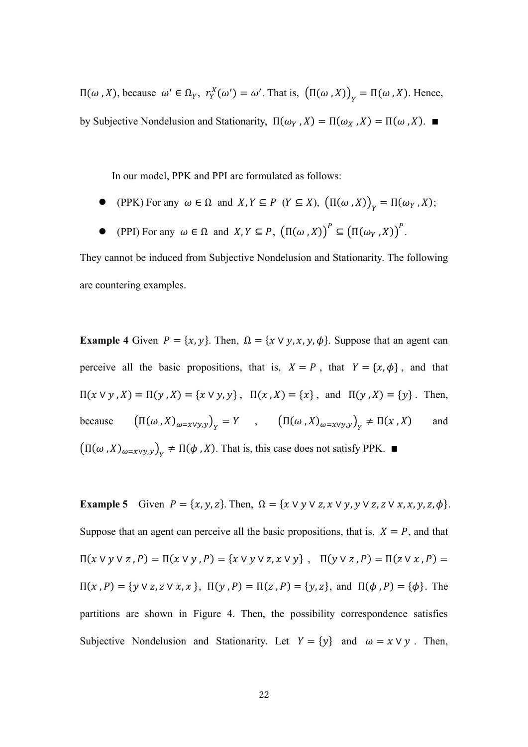$\Pi$ (ω, X), because ω' ∈ Ω<sub>Y</sub>,  $r_Y^X$ (ω') = ω'. That is,  $(Π(ω, X))_Y = Π(ω, X)$ . Hence, by Subjective Nondelusion and Stationarity,  $\Pi(\omega_Y, X) = \Pi(\omega_X, X) = \Pi(\omega, X)$ .

In our model, PPK and PPI are formulated as follows:

- (PPK) For any  $\omega \in \Omega$  and  $X, Y \subseteq P$   $(Y \subseteq X)$ ,  $(\Pi(\omega, X))_Y = \Pi(\omega_Y, X)$ ;
- (PPI) For any  $\omega \in \Omega$  and  $X, Y \subseteq P$ ,  $(\Pi(\omega, X))^P \subseteq (\Pi(\omega_Y, X))^P$ .

They cannot be induced from Subjective Nondelusion and Stationarity. The following are countering examples.

**Example 4** Given  $P = \{x, y\}$ . Then,  $\Omega = \{x \lor y, x, y, \phi\}$ . Suppose that an agent can perceive all the basic propositions, that is,  $X = P$ , that  $Y = \{x, \phi\}$ , and that  $\Pi(x \vee y, X) = \Pi(y, X) = \{x \vee y, y\}, \ \Pi(x, X) = \{x\}, \text{ and } \Pi(y, X) = \{y\}. \text{ Then, }$ because  $(\Pi(\omega, X)_{\omega=x\vee y, y})_Y = Y$ ,  $(\Pi(\omega, X)_{\omega=x\vee y, y})_Y \neq \Pi(x, X)$  and  $(\Pi(\omega, X)_{\omega=x\vee y, y})$ <sub>Y</sub>  $\neq \Pi(\phi, X)$ . That is, this case does not satisfy PPK.  $\blacksquare$ 

**Example 5** Given  $P = \{x, y, z\}$ . Then,  $\Omega = \{x \vee y \vee z, x \vee y, y \vee z, z \vee x, x, y, z, \phi\}$ . Suppose that an agent can perceive all the basic propositions, that is,  $X = P$ , and that  $\Pi(x \vee y \vee z, P) = \Pi(x \vee y, P) = \{x \vee y \vee z, x \vee y\}, \quad \Pi(y \vee z, P) = \Pi(z \vee x, P) =$  $\Pi(x, P) = \{y \lor z, z \lor x, x\}, \Pi(y, P) = \Pi(z, P) = \{y, z\}, \text{ and } \Pi(\phi, P) = \{\phi\}.$  The partitions are shown in Figure 4. Then, the possibility correspondence satisfies Subjective Nondelusion and Stationarity. Let  $Y = \{y\}$  and  $\omega = x \vee y$ . Then,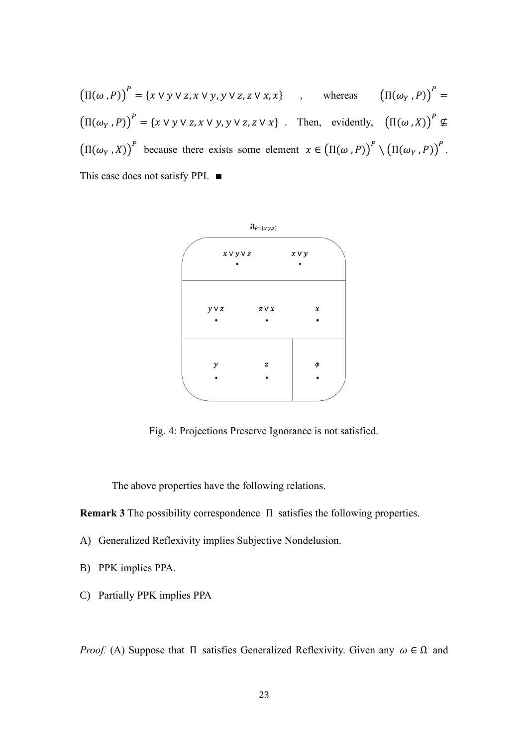$(\Pi(\omega, P))^P = \{x \lor y \lor z, x \lor y, y \lor z, z \lor x, x\}$ , whereas  $(\Pi(\omega_Y, P))^P =$  $(\Pi(\omega_Y, P))^P = \{x \lor y \lor z, x \lor y, y \lor z, z \lor x\}$ . Then, evidently,  $(\Pi(\omega, X))^P \nsubseteq$  $(\Pi(\omega_Y, X))^P$  because there exists some element  $x \in (\Pi(\omega, P))^P \setminus (\Pi(\omega_Y, P))^P$ . This case does not satisfy PPI. ∎



Fig. 4: Projections Preserve Ignorance is not satisfied.

The above properties have the following relations.

**Remark 3** The possibility correspondence Π satisfies the following properties.

- A) Generalized Reflexivity implies Subjective Nondelusion.
- B) PPK implies PPA.
- C) Partially PPK implies PPA

*Proof.* (A) Suppose that  $\Pi$  satisfies Generalized Reflexivity. Given any  $\omega \in \Omega$  and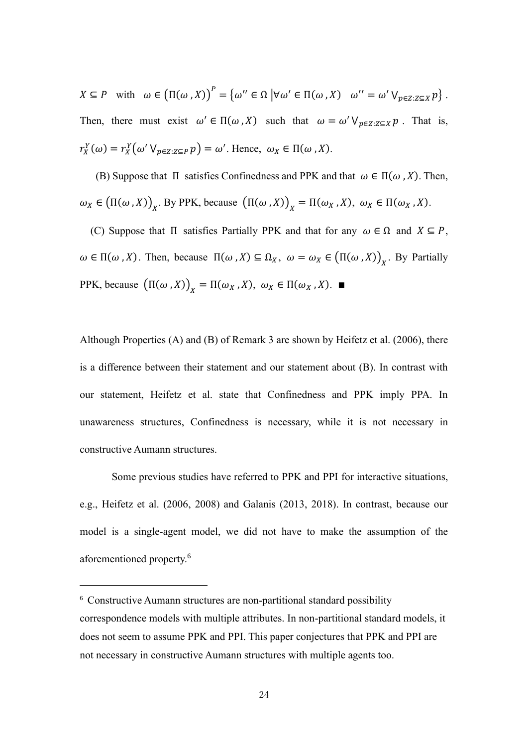$X \subseteq P$  with  $\omega \in (\Pi(\omega, X))^P = {\omega'' \in \Omega \mid \forall \omega' \in \Pi(\omega, X) \quad \omega'' = \omega' \vee_{p \in Z: Z \subseteq X} p}.$ Then, there must exist  $\omega' \in \Pi(\omega, X)$  such that  $\omega = \omega' \vee_{p \in Z : Z \subseteq X} p$ . That is,  $r_X^Y(\omega) = r_X^Y(\omega' \vee_{p \in Z: Z \subseteq P} p) = \omega'.$  Hence,  $\omega_X \in \Pi(\omega, X)$ .

(B) Suppose that  $\Pi$  satisfies Confinedness and PPK and that  $\omega \in \Pi(\omega, X)$ . Then,  $\omega_X \in (\Pi(\omega, X))_X$ . By PPK, because  $(\Pi(\omega, X))_X = \Pi(\omega_X, X)$ ,  $\omega_X \in \Pi(\omega_X, X)$ .

(C) Suppose that  $\Pi$  satisfies Partially PPK and that for any  $\omega \in \Omega$  and  $X \subseteq P$ ,  $\omega \in \Pi(\omega, X)$ . Then, because  $\Pi(\omega, X) \subseteq \Omega_X$ ,  $\omega = \omega_X \in (\Pi(\omega, X))_X$ . By Partially PPK, because  $(\Pi(\omega, X))_X = \Pi(\omega_X, X), \ \omega_X \in \Pi(\omega_X, X)$ .

Although Properties (A) and (B) of Remark 3 are shown by Heifetz et al. (2006), there is a difference between their statement and our statement about (B). In contrast with our statement, Heifetz et al. state that Confinedness and PPK imply PPA. In unawareness structures, Confinedness is necessary, while it is not necessary in constructive Aumann structures.

 Some previous studies have referred to PPK and PPI for interactive situations, e.g., Heifetz et al. (2006, 2008) and Galanis (2013, 2018). In contrast, because our model is a single-agent model, we did not have to make the assumption of the aforementioned property.<sup>6</sup>

<sup>6</sup> Constructive Aumann structures are non-partitional standard possibility correspondence models with multiple attributes. In non-partitional standard models, it does not seem to assume PPK and PPI. This paper conjectures that PPK and PPI are not necessary in constructive Aumann structures with multiple agents too.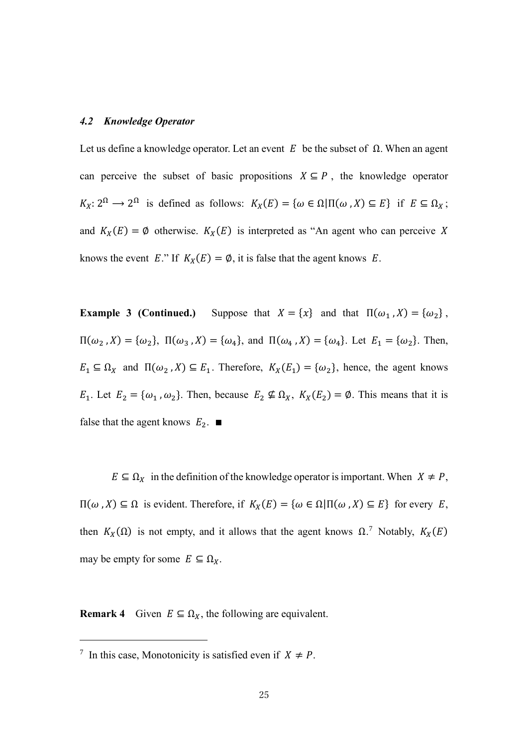#### *4.2 Knowledge Operator*

Let us define a knowledge operator. Let an event  $E$  be the subset of  $Ω$ . When an agent can perceive the subset of basic propositions  $X \subseteq P$ , the knowledge operator  $K_X: 2^{\Omega} \to 2^{\Omega}$  is defined as follows:  $K_X(E) = {\omega \in \Omega | \Pi(\omega, X) \subseteq E}$  if  $E \subseteq \Omega_X$ ; and  $K_X(E) = \emptyset$  otherwise.  $K_X(E)$  is interpreted as "An agent who can perceive X knows the event E." If  $K_X(E) = \emptyset$ , it is false that the agent knows E.

**Example 3 (Continued.)** Suppose that  $X = \{x\}$  and that  $\Pi(\omega_1, X) = \{\omega_2\}$ ,  $\Pi(\omega_2, X) = {\omega_2}, \ \Pi(\omega_3, X) = {\omega_4}, \text{ and } \Pi(\omega_4, X) = {\omega_4}.$  Let  $E_1 = {\omega_2}.$  Then,  $E_1 \subseteq \Omega_X$  and  $\Pi(\omega_2, X) \subseteq E_1$ . Therefore,  $K_X(E_1) = {\omega_2}$ , hence, the agent knows  $E_1$ . Let  $E_2 = \{\omega_1, \omega_2\}$ . Then, because  $E_2 \nsubseteq \Omega_X$ ,  $K_X(E_2) = \emptyset$ . This means that it is false that the agent knows  $E_2$ . ■

 $E \subseteq \Omega_X$  in the definition of the knowledge operator is important. When  $X \neq P$ ,  $\Pi(\omega, X) \subseteq \Omega$  is evident. Therefore, if  $K_X(E) = {\omega \in \Omega}$ |Π(ω, X) ⊆ E} for every E, then  $K_X(\Omega)$  is not empty, and it allows that the agent knows  $\Omega$ .<sup>7</sup> Notably,  $K_X(E)$ may be empty for some  $E \subseteq \Omega_X$ .

**Remark 4** Given  $E \subseteq \Omega_X$ , the following are equivalent.

<sup>&</sup>lt;sup>7</sup> In this case, Monotonicity is satisfied even if  $X \neq P$ .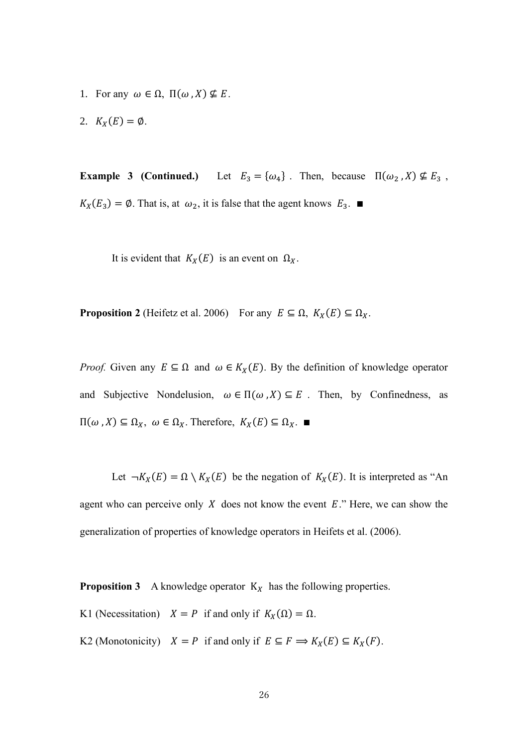- 1. For any  $\omega \in \Omega$ ,  $\Pi(\omega, X) \nsubseteq E$ .
- 2.  $K_X(E) = \emptyset$ .

**Example 3 (Continued.)** Let  $E_3 = {\omega_4}$ . Then, because  $\Pi(\omega_2, X) \not\subseteq E_3$ ,  $K_X(E_3) = \emptyset$ . That is, at  $\omega_2$ , it is false that the agent knows  $E_3$ . ■

It is evident that  $K_X(E)$  is an event on  $\Omega_X$ .

**Proposition 2** (Heifetz et al. 2006) For any  $E \subseteq \Omega$ ,  $K_X(E) \subseteq \Omega_X$ .

*Proof.* Given any  $E \subseteq \Omega$  and  $\omega \in K_X(E)$ . By the definition of knowledge operator and Subjective Nondelusion,  $\omega \in \Pi(\omega, X) \subseteq E$ . Then, by Confinedness, as  $\Pi(\omega, X) \subseteq \Omega_X$ ,  $\omega \in \Omega_X$ . Therefore,  $K_X(E) \subseteq \Omega_X$ .

Let  $\neg K_X(E) = \Omega \setminus K_X(E)$  be the negation of  $K_X(E)$ . It is interpreted as "An agent who can perceive only  $X$  does not know the event  $E$ ." Here, we can show the generalization of properties of knowledge operators in Heifets et al. (2006).

**Proposition 3** A knowledge operator  $K_X$  has the following properties.

- K1 (Necessitation)  $X = P$  if and only if  $K_X(\Omega) = \Omega$ .
- K2 (Monotonicity)  $X = P$  if and only if  $E \subseteq F \implies K_X(E) \subseteq K_X(F)$ .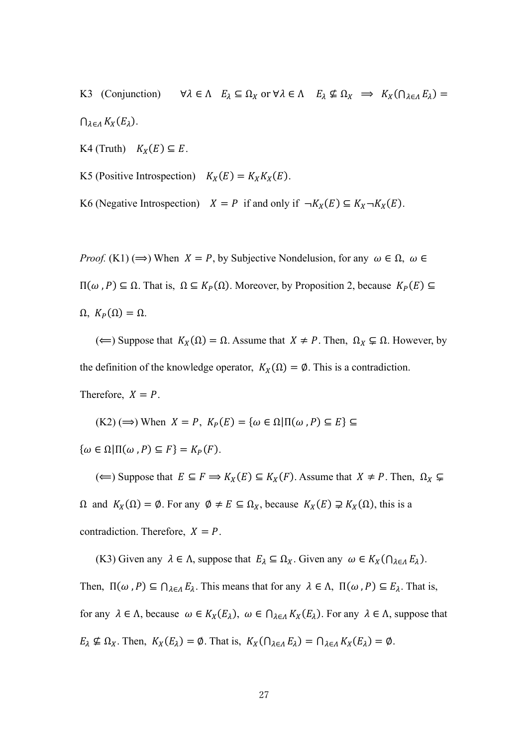K3 (Conjunction)  $\forall \lambda \in \Lambda \quad E_{\lambda} \subseteq \Omega_X \text{ or } \forall \lambda \in \Lambda \quad E_{\lambda} \nsubseteq \Omega_X \implies K_X(\cap_{\lambda \in \Lambda} E_{\lambda}) =$  $\bigcap_{\lambda \in \Lambda} K_X(E_\lambda)$ .

K4 (Truth)  $K_X(E) \subseteq E$ .

K5 (Positive Introspection)  $K_X(E) = K_X K_X(E)$ .

K6 (Negative Introspection)  $X = P$  if and only if  $\neg K_X(E) \subseteq K_X \neg K_X(E)$ .

*Proof.* (K1) ( $\implies$ ) When  $X = P$ , by Subjective Nondelusion, for any  $\omega \in \Omega$ ,  $\omega \in \Omega$  $\Pi(\omega, P) \subseteq \Omega$ . That is,  $\Omega \subseteq K_P(\Omega)$ . Moreover, by Proposition 2, because  $K_P(E)$  ⊆  $\Omega$ ,  $K_P(\Omega) = \Omega$ .

(←) Suppose that  $K_X(\Omega) = \Omega$ . Assume that  $X \neq P$ . Then,  $\Omega_X \subsetneq \Omega$ . However, by the definition of the knowledge operator,  $K_X(\Omega) = \emptyset$ . This is a contradiction.

Therefore,  $X = P$ .

 $(K2) (\Rightarrow)$  When  $X = P$ ,  $K_P(E) = {\omega \in \Omega | \Pi(\omega, P) \subseteq E}$ 

 $\{\omega \in \Omega | \Pi(\omega, P) \subseteq F\} = K_P(F).$ 

(←) Suppose that  $E \subseteq F \implies K_X(E) \subseteq K_X(F)$ . Assume that  $X \neq P$ . Then,  $\Omega_X \subseteq$  $\Omega$  and  $K_X(\Omega) = \emptyset$ . For any  $\emptyset \neq E \subseteq \Omega_X$ , because  $K_X(E) \supsetneq K_X(\Omega)$ , this is a contradiction. Therefore,  $X = P$ .

(K3) Given any  $\lambda \in \Lambda$ , suppose that  $E_{\lambda} \subseteq \Omega_X$ . Given any  $\omega \in K_X(\bigcap_{\lambda \in \Lambda} E_{\lambda})$ . Then,  $\Pi(\omega, P) \subseteq \bigcap_{\lambda \in \Lambda} E_{\lambda}$ . This means that for any  $\lambda \in \Lambda$ ,  $\Pi(\omega, P) \subseteq E_{\lambda}$ . That is, for any  $\lambda \in \Lambda$ , because  $\omega \in K_X(E_{\lambda})$ ,  $\omega \in \bigcap_{\lambda \in \Lambda} K_X(E_{\lambda})$ . For any  $\lambda \in \Lambda$ , suppose that  $E_{\lambda} \nsubseteq \Omega_X$ . Then,  $K_X(E_{\lambda}) = \emptyset$ . That is,  $K_X(\bigcap_{\lambda \in \Lambda} E_{\lambda}) = \bigcap_{\lambda \in \Lambda} K_X(E_{\lambda}) = \emptyset$ .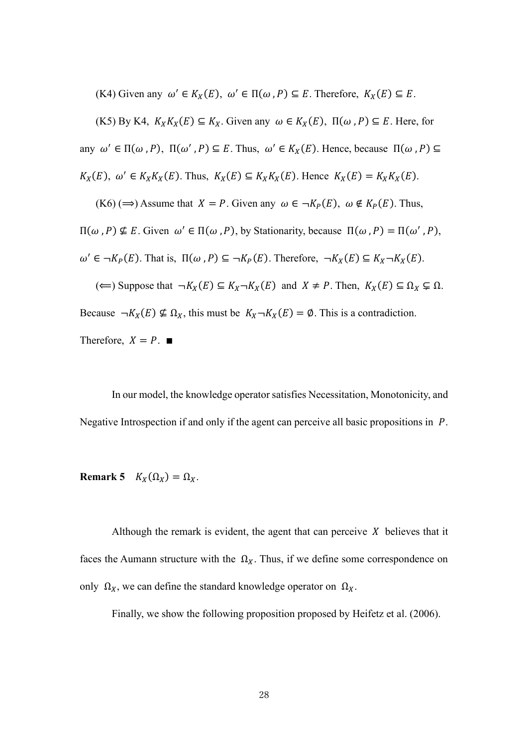(K4) Given any  $\omega' \in K_X(E)$ ,  $\omega' \in \Pi(\omega, P) \subseteq E$ . Therefore,  $K_X(E) \subseteq E$ .

\n- (K5) By K4, 
$$
K_X K_X(E) \subseteq K_X
$$
. Given any  $\omega \in K_X(E)$ ,  $\Pi(\omega, P) \subseteq E$ . Here, for any  $\omega' \in \Pi(\omega, P)$ ,  $\Pi(\omega', P) \subseteq E$ . Thus,  $\omega' \in K_X(E)$ . Hence, because  $\Pi(\omega, P) \subseteq K_X(E)$ ,  $\omega' \in K_X K_X(E)$ . Thus,  $K_X(E) \subseteq K_X K_X(E)$ . Hence  $K_X(E) = K_X K_X(E)$ .
\n- (K6) ( $\Rightarrow$ ) Assume that  $X = P$ . Given any  $\omega \in \neg K_P(E)$ ,  $\omega \notin K_P(E)$ . Thus,  $\Pi(\omega, P) \nsubseteq E$ . Given  $\omega' \in \Pi(\omega, P)$ , by Stationarity, because  $\Pi(\omega, P) = \Pi(\omega', P)$ ,  $\omega' \in \neg K_P(E)$ . That is,  $\Pi(\omega, P) \subseteq \neg K_P(E)$ . Therefore,  $\neg K_X(E) \subseteq K_X \neg K_X(E)$ .
\n- ( $\Leftarrow$ ) Suppose that  $\neg K_X(E) \subseteq K_X \neg K_X(E)$  and  $X \neq P$ . Then,  $K_X(E) \subseteq \Omega_X \subseteq \Omega$ . Because  $\neg K_X(E) \nsubseteq \Omega_X$ , this must be  $K_X \neg K_X(E) = \emptyset$ . This is a contradiction. Therefore,  $X = P$ .
\n

 In our model, the knowledge operator satisfies Necessitation, Monotonicity, and Negative Introspection if and only if the agent can perceive all basic propositions in  $P$ .

**Remark 5**  $K_X(\Omega_X) = \Omega_X$ .

Although the remark is evident, the agent that can perceive  $X$  believes that it faces the Aumann structure with the  $\Omega_X$ . Thus, if we define some correspondence on only  $\Omega_X$ , we can define the standard knowledge operator on  $\Omega_X$ .

Finally, we show the following proposition proposed by Heifetz et al. (2006).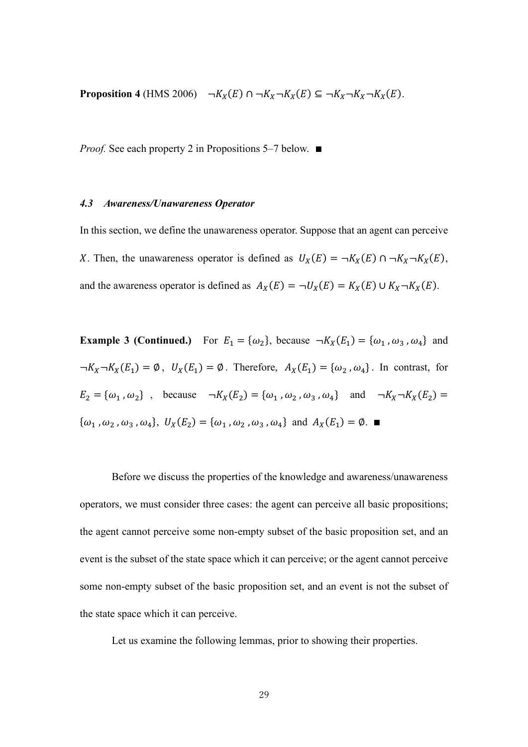**Proposition 4** (HMS 2006)  $\neg K_X(E) \cap \neg K_X \neg K_X(E) \subseteq \neg K_X \neg K_X \neg K_X(E)$ .

*Proof.* See each property 2 in Propositions 5–7 below. ■

## *4.3 Awareness/Unawareness Operator*

In this section, we define the unawareness operator. Suppose that an agent can perceive X. Then, the unawareness operator is defined as  $U_X(E) = \neg K_X(E) \cap \neg K_X \neg K_X(E)$ , and the awareness operator is defined as  $A_X(E) = \neg U_X(E) = K_X(E) \cup K_X \neg K_X(E)$ .

**Example 3 (Continued.)** For  $E_1 = {\omega_2}$ , because  $\neg K_X(E_1) = {\omega_1, \omega_3, \omega_4}$  and  $\neg K_X \neg K_X(E_1) = \emptyset$ ,  $U_X(E_1) = \emptyset$ . Therefore,  $A_X(E_1) = \{\omega_2, \omega_4\}$ . In contrast, for  $E_2 = {\omega_1, \omega_2}$ , because  $\neg K_X(E_2) = {\omega_1, \omega_2, \omega_3, \omega_4}$  and  $\neg K_X \neg K_X(E_2) =$  $\{\omega_1, \omega_2, \omega_3, \omega_4\}, \ U_X(E_2) = \{\omega_1, \omega_2, \omega_3, \omega_4\} \text{ and } A_X(E_1) = \emptyset.$ 

 Before we discuss the properties of the knowledge and awareness/unawareness operators, we must consider three cases: the agent can perceive all basic propositions; the agent cannot perceive some non-empty subset of the basic proposition set, and an event is the subset of the state space which it can perceive; or the agent cannot perceive some non-empty subset of the basic proposition set, and an event is not the subset of the state space which it can perceive.

Let us examine the following lemmas, prior to showing their properties.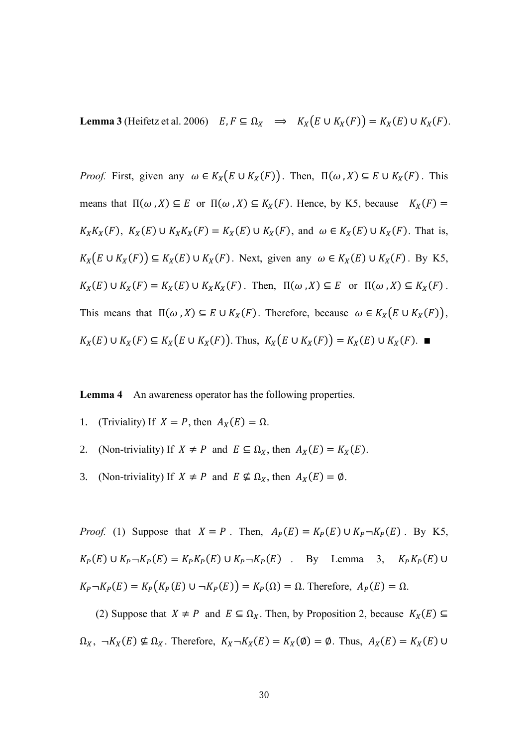**Lemma 3** (Heifetz et al. 2006)  $E, F \subseteq \Omega_X \implies K_X(E \cup K_X(F)) = K_X(E) \cup K_X(F)$ .

*Proof.* First, given any  $\omega \in K_X(E \cup K_X(F))$ . Then,  $\Pi(\omega, X) \subseteq E \cup K_X(F)$ . This means that  $\Pi(\omega, X) \subseteq E$  or  $\Pi(\omega, X) \subseteq K_X(F)$ . Hence, by K5, because  $K_X(F) =$  $K_XK_X(F)$ ,  $K_X(E) \cup K_XK_X(F) = K_X(E) \cup K_X(F)$ , and  $\omega \in K_X(E) \cup K_X(F)$ . That is,  $K_X(E \cup K_X(F)) \subseteq K_X(E) \cup K_X(F)$ . Next, given any  $\omega \in K_X(E) \cup K_X(F)$ . By K5,  $K_X(E) \cup K_X(F) = K_X(E) \cup K_XK_X(F)$ . Then,  $\Pi(\omega, X) \subseteq E$  or  $\Pi(\omega, X) \subseteq K_X(F)$ . This means that  $\Pi(\omega, X) \subseteq E \cup K_X(F)$ . Therefore, because  $\omega \in K_X(E \cup K_X(F)),$  $K_X(E) \cup K_X(F) \subseteq K_X(E \cup K_X(F))$ . Thus,  $K_X(E \cup K_X(F)) = K_X(E) \cup K_X(F)$ . ■

**Lemma 4** An awareness operator has the following properties.

- 1. (Triviality) If  $X = P$ , then  $A_X(E) = \Omega$ .
- 2. (Non-triviality) If  $X \neq P$  and  $E \subseteq \Omega_X$ , then  $A_X(E) = K_X(E)$ .
- 3. (Non-triviality) If  $X \neq P$  and  $E \nsubseteq \Omega_X$ , then  $A_X(E) = \emptyset$ .

*Proof.* (1) Suppose that  $X = P$ . Then,  $A_P(E) = K_P(E) \cup K_P \neg K_P(E)$ . By K5,  $K_P(E) \cup K_P \neg K_P(E) = K_P K_P(E) \cup K_P \neg K_P(E)$  . By Lemma 3,  $K_P K_P(E) \cup$  $K_P \neg K_P(E) = K_P(K_P(E) \cup \neg K_P(E)) = K_P(\Omega) = \Omega$ . Therefore,  $A_P(E) = \Omega$ .

(2) Suppose that  $X \neq P$  and  $E \subseteq \Omega_X$ . Then, by Proposition 2, because  $K_X(E) \subseteq$  $\Omega_X$ ,  $\neg K_X(E) \nsubseteq \Omega_X$ . Therefore,  $K_X \neg K_X(E) = K_X(\emptyset) = \emptyset$ . Thus,  $A_X(E) = K_X(E) \cup$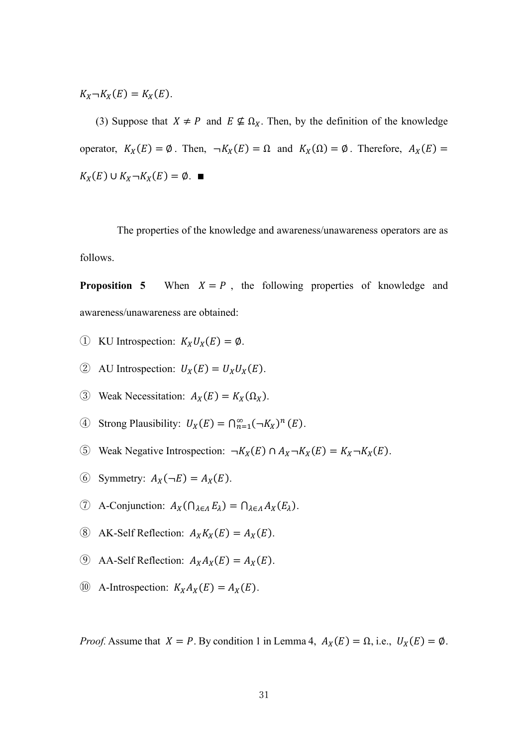$K_X \neg K_X(E) = K_X(E).$ 

(3) Suppose that  $X \neq P$  and  $E \nsubseteq \Omega_X$ . Then, by the definition of the knowledge operator,  $K_X(E) = \emptyset$ . Then,  $\neg K_X(E) = \Omega$  and  $K_X(\Omega) = \emptyset$ . Therefore,  $A_X(E) =$  $K_X(E) \cup K_X \neg K_X(E) = \emptyset$ .

The properties of the knowledge and awareness/unawareness operators are as follows.

**Proposition 5** When  $X = P$ , the following properties of knowledge and awareness/unawareness are obtained:

- ① KU Introspection:  $K_XU_X(E) = \emptyset$ .
- (2) AU Introspection:  $U_X(E) = U_X U_X(E)$ .
- 3 Weak Necessitation:  $A_X(E) = K_X(\Omega_X)$ .
- 4) Strong Plausibility:  $U_X(E) = \bigcap_{n=1}^{\infty} (\neg K_X)^n(E)$ .
- $\odot$  Weak Negative Introspection: ¬K<sub>X</sub>(E) ∩ A<sub>X</sub> ¬K<sub>X</sub>(E) = K<sub>X</sub> ¬K<sub>X</sub>(E).
- $\textcircled{\scriptsize{6}}$  Symmetry:  $A_X(\neg E) = A_X(E)$ .
- $\textcircled{7}$  A-Conjunction:  $A_X(\bigcap_{\lambda \in \Lambda} E_\lambda) = \bigcap_{\lambda \in \Lambda} A_X(E_\lambda)$ .
- $\circledR$  AK-Self Reflection:  $A_X K_X(E) = A_X(E)$ .
- **(9)** AA-Self Reflection:  $A_X A_X(E) = A_X(E)$ .
- (iii) A-Introspection:  $K_X A_X(E) = A_X(E)$ .

*Proof.* Assume that  $X = P$ . By condition 1 in Lemma 4,  $A_X(E) = \Omega$ , i.e.,  $U_X(E) = \emptyset$ .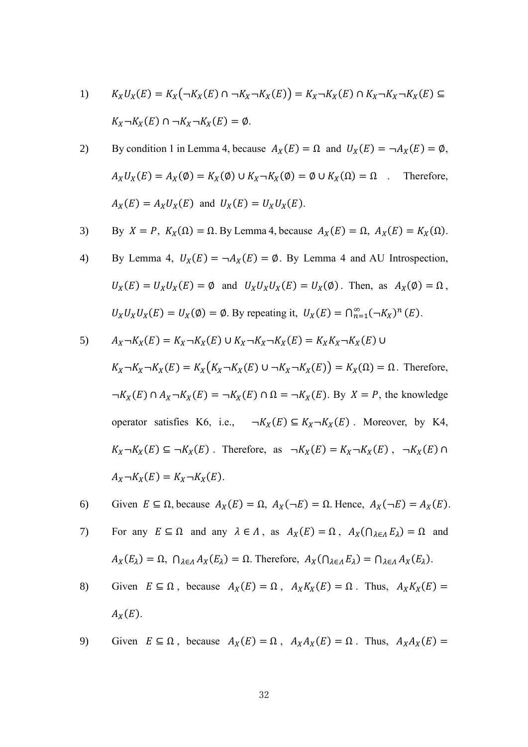1) 
$$
K_XU_X(E) = K_X(\neg K_X(E) \cap \neg K_X \neg K_X(E)) = K_X \neg K_X(E) \cap K_X \neg K_X \neg K_X(E) \subseteq
$$

$$
K_X \neg K_X(E) \cap \neg K_X \neg K_X(E) = \emptyset.
$$

2) By condition 1 in Lemma 4, because 
$$
A_X(E) = \Omega
$$
 and  $U_X(E) = \neg A_X(E) = \emptyset$ ,  
\n $A_X U_X(E) = A_X(\emptyset) = K_X(\emptyset) \cup K_X \neg K_X(\emptyset) = \emptyset \cup K_X(\Omega) = \Omega$ . Therefore,  
\n $A_X(E) = A_X U_X(E)$  and  $U_X(E) = U_X U_X(E)$ .

3) By 
$$
X = P
$$
,  $K_X(\Omega) = \Omega$ . By Lemma 4, because  $A_X(E) = \Omega$ ,  $A_X(E) = K_X(\Omega)$ .

4) By Lemma 4, 
$$
U_X(E) = \neg A_X(E) = \emptyset
$$
. By Lemma 4 and AU Introspection,  
\n $U_X(E) = U_X U_X(E) = \emptyset$  and  $U_X U_X U_X(E) = U_X(\emptyset)$ . Then, as  $A_X(\emptyset) = \Omega$ ,  
\n $U_X U_X U_X(E) = U_X(\emptyset) = \emptyset$ . By repeating it,  $U_X(E) = \bigcap_{n=1}^{\infty} (\neg K_X)^n(E)$ .

5) 
$$
A_X \neg K_X(E) = K_X \neg K_X(E) \cup K_X \neg K_X \neg K_X(E) = K_X K_X \neg K_X(E) \cup
$$

 $K_X \neg K_X \neg K_X(E) = K_X(K_X \neg K_X(E) \cup \neg K_X \neg K_X(E)) = K_X(\Omega) = \Omega$ . Therefore,  $\neg K_X(E) \cap A_X \neg K_X(E) = \neg K_X(E) \cap \Omega = \neg K_X(E)$ . By  $X = P$ , the knowledge operator satisfies K6, i.e.,  $\neg K_X(E) \subseteq K_X \neg K_X(E)$ . Moreover, by K4,  $K_X \neg K_X(E) \subseteq \neg K_X(E)$ . Therefore, as  $\neg K_X(E) = K_X \neg K_X(E)$ ,  $\neg K_X(E) \cap$  $A_X \neg K_X(E) = K_X \neg K_X(E).$ 

6) Given 
$$
E \subseteq \Omega
$$
, because  $A_X(E) = \Omega$ ,  $A_X(\neg E) = \Omega$ . Hence,  $A_X(\neg E) = A_X(E)$ .

7) For any 
$$
E \subseteq \Omega
$$
 and any  $\lambda \in \Lambda$ , as  $A_X(E) = \Omega$ ,  $A_X(\bigcap_{\lambda \in \Lambda} E_{\lambda}) = \Omega$  and  
 $A_X(E_{\lambda}) = \Omega$ ,  $\bigcap_{\lambda \in \Lambda} A_X(E_{\lambda}) = \Omega$ . Therefore,  $A_X(\bigcap_{\lambda \in \Lambda} E_{\lambda}) = \bigcap_{\lambda \in \Lambda} A_X(E_{\lambda})$ .

8) Given  $E \subseteq \Omega$ , because  $A_X(E) = \Omega$ ,  $A_X K_X(E) = \Omega$ . Thus,  $A_X K_X(E) =$  $A_X(E)$ .

9) Given 
$$
E \subseteq \Omega
$$
, because  $A_X(E) = \Omega$ ,  $A_X A_X(E) = \Omega$ . Thus,  $A_X A_X(E) =$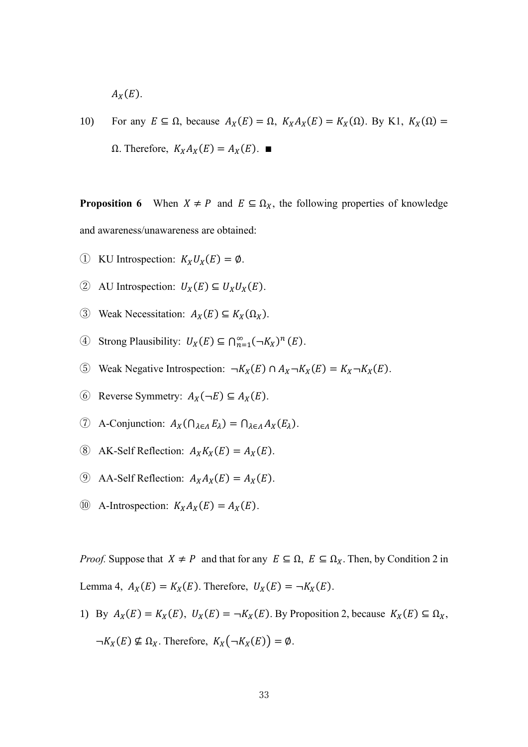$A_X(E)$ .

10) For any  $E \subseteq \Omega$ , because  $A_X(E) = \Omega$ ,  $K_X A_X(E) = K_X(\Omega)$ . By K1,  $K_X(\Omega) =$ Ω. Therefore,  $K_X A_X(E) = A_X(E)$ . ■

**Proposition 6** When  $X \neq P$  and  $E \subseteq \Omega_X$ , the following properties of knowledge and awareness/unawareness are obtained:

- ① KU Introspection:  $K_XU_X(E) = \emptyset$ .
- ② AU Introspection:  $U_X(E)$  ⊆  $U_XU_X(E)$ .
- 3 Weak Necessitation:  $A_X(E) \subseteq K_X(\Omega_X)$ .
- 4) Strong Plausibility:  $U_X(E) \subseteq \bigcap_{n=1}^{\infty} (\neg K_X)^n(E)$ .
- **⑤** Weak Negative Introspection:  $\neg K_X(E) \cap A_X \neg K_X(E) = K_X \neg K_X(E)$ .
- ⑥ Reverse Symmetry: <math>A\_X(\neg E) \subseteq A\_X(E)</math>.
- $\textcircled{7}$  A-Conjunction:  $A_X(\bigcap_{\lambda \in \Lambda} E_\lambda) = \bigcap_{\lambda \in \Lambda} A_X(E_\lambda)$ .
- $\circledR$  AK-Self Reflection:  $A_X K_X(E) = A_X(E)$ .
- **(9)** AA-Self Reflection:  $A_X A_X(E) = A_X(E)$ .
- (i) A-Introspection:  $K_XA_X(E) = A_X(E)$ .

*Proof.* Suppose that  $X \neq P$  and that for any  $E \subseteq \Omega$ ,  $E \subseteq \Omega_X$ . Then, by Condition 2 in Lemma 4,  $A_X(E) = K_X(E)$ . Therefore,  $U_X(E) = \neg K_X(E)$ .

1) By  $A_X(E) = K_X(E)$ ,  $U_X(E) = \neg K_X(E)$ . By Proposition 2, because  $K_X(E) \subseteq \Omega_X$ ,  $\neg K_X(E) \nsubseteq \Omega_X$ . Therefore,  $K_X(\neg K_X(E)) = \emptyset$ .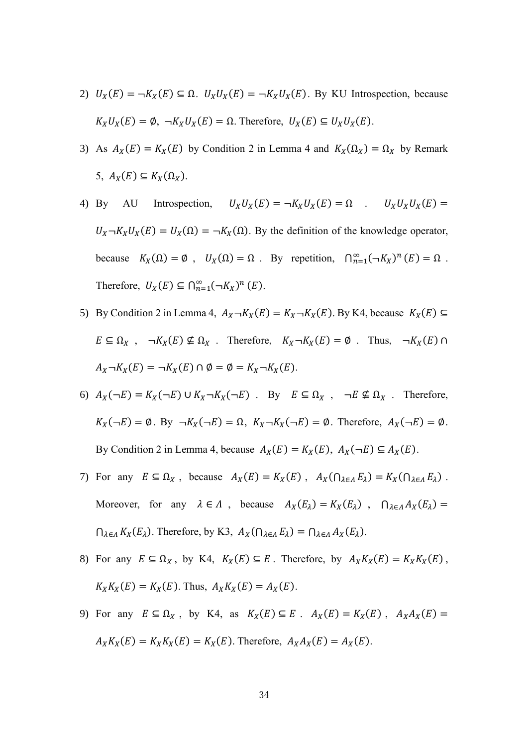- 2)  $U_X(E) = \neg K_X(E) \subseteq \Omega$ .  $U_X U_X(E) = \neg K_X U_X(E)$ . By KU Introspection, because  $K_XU_X(E) = \emptyset$ ,  $\neg K_XU_X(E) = \Omega$ . Therefore,  $U_X(E) \subseteq U_XU_X(E)$ .
- 3) As  $A_X(E) = K_X(E)$  by Condition 2 in Lemma 4 and  $K_X(\Omega_X) = \Omega_X$  by Remark 5,  $A_X(E) \subseteq K_X(\Omega_X)$ .
- 4) By AU Introspection,  $U_XU_X(E) = \neg K_XU_X(E) = \Omega$  .  $U_XU_XU_X(E) =$  $U_X \neg K_X U_X(E) = U_X(\Omega) = \neg K_X(\Omega)$ . By the definition of the knowledge operator, because  $K_X(\Omega) = \emptyset$ ,  $U_X(\Omega) = \Omega$ . By repetition,  $\bigcap_{n=1}^{\infty} (\neg K_X)^n(E) = \Omega$ . Therefore,  $U_X(E) \subseteq \bigcap_{n=1}^{\infty} (\neg K_X)^n(E)$ .
- 5) By Condition 2 in Lemma 4,  $A_X \neg K_X(E) = K_X \neg K_X(E)$ . By K4, because  $K_X(E) \subseteq$  $E \subseteq \Omega_X$ ,  $\neg K_X(E) \nsubseteq \Omega_X$ . Therefore,  $K_X \neg K_X(E) = \emptyset$ . Thus,  $\neg K_X(E) \cap \Omega_X$  $A_X \neg K_X(E) = \neg K_X(E) \cap \emptyset = \emptyset = K_X \neg K_X(E).$
- 6)  $A_X(\neg E) = K_X(\neg E) \cup K_X \neg K_X(\neg E)$ . By  $E \subseteq \Omega_X$ ,  $\neg E \nsubseteq \Omega_X$ . Therefore,  $K_X(\neg E) = \emptyset$ . By  $\neg K_X(\neg E) = \Omega$ ,  $K_X \neg K_X(\neg E) = \emptyset$ . Therefore,  $A_X(\neg E) = \emptyset$ . By Condition 2 in Lemma 4, because  $A_X(E) = K_X(E)$ ,  $A_X(\neg E) \subseteq A_X(E)$ .
- 7) For any  $E \subseteq \Omega_X$ , because  $A_X(E) = K_X(E)$ ,  $A_X(\cap_{\lambda \in \Lambda} E_\lambda) = K_X(\cap_{\lambda \in \Lambda} E_\lambda)$ . Moreover, for any  $\lambda \in \Lambda$ , because  $A_X(E_\lambda) = K_X(E_\lambda)$ ,  $\bigcap_{\lambda \in \Lambda} A_X(E_\lambda) =$  $\bigcap_{\lambda \in \Lambda} K_X(E_\lambda)$ . Therefore, by K3,  $A_X(\bigcap_{\lambda \in \Lambda} E_\lambda) = \bigcap_{\lambda \in \Lambda} A_X(E_\lambda)$ .
- 8) For any  $E \subseteq \Omega_X$ , by K4,  $K_X(E) \subseteq E$ . Therefore, by  $A_X K_X(E) = K_X K_X(E)$ ,  $K_X K_X(E) = K_X(E)$ . Thus,  $A_X K_X(E) = A_X(E)$ .
- 9) For any  $E \subseteq \Omega_X$ , by K4, as  $K_X(E) \subseteq E$ .  $A_X(E) = K_X(E)$ ,  $A_X A_X(E) =$  $A_X K_X(E) = K_X K_X(E) = K_X(E)$ . Therefore,  $A_X A_X(E) = A_X(E)$ .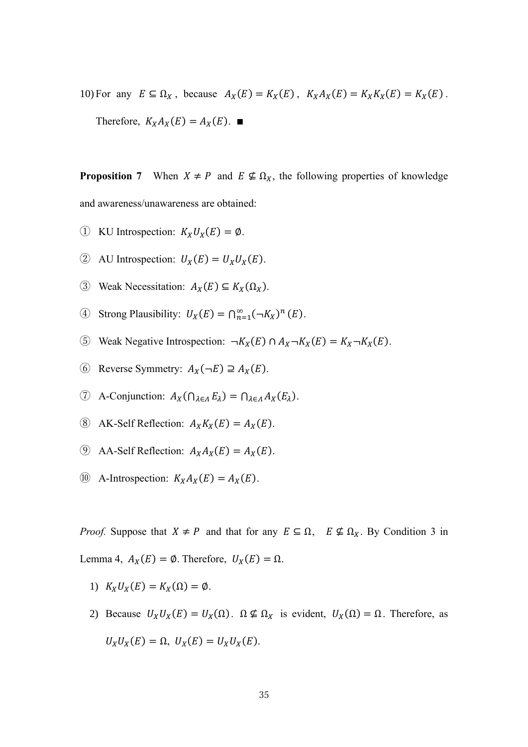10) For any  $E \subseteq \Omega_X$ , because  $A_X(E) = K_X(E)$ ,  $K_X A_X(E) = K_X K_X(E) = K_X(E)$ . Therefore,  $K_X A_X(E) = A_X(E)$ . ■

**Proposition 7** When  $X \neq P$  and  $E \nsubseteq \Omega_X$ , the following properties of knowledge and awareness/unawareness are obtained:

- ① KU Introspection:  $K_XU_X(E) = \emptyset$ .
- (2) AU Introspection:  $U_X(E) = U_X U_X(E)$ .
- 3 Weak Necessitation:  $A_X(E) \subseteq K_X(\Omega_X)$ .
- 4) Strong Plausibility:  $U_X(E) = \bigcap_{n=1}^{\infty} (\neg K_X)^n(E)$ .
- **⑤** Weak Negative Introspection:  $\neg K_X(E) \cap A_X \neg K_X(E) = K_X \neg K_X(E)$ .
- **⑥** Reverse Symmetry:  $A_X(¬E) ≥ A_X(E)$ .
- $\textcircled{7}$  A-Conjunction:  $A_X(\bigcap_{\lambda \in \Lambda} E_\lambda) = \bigcap_{\lambda \in \Lambda} A_X(E_\lambda)$ .
- $\circledR$  AK-Self Reflection:  $A_X K_X(E) = A_X(E)$ .
- **(9)** AA-Self Reflection:  $A_X A_X(E) = A_X(E)$ .
- **(0)** A-Introspection:  $K_X A_X(E) = A_X(E)$ .

*Proof.* Suppose that  $X \neq P$  and that for any  $E \subseteq \Omega$ ,  $E \nsubseteq \Omega_X$ . By Condition 3 in Lemma 4,  $A_X(E) = \emptyset$ . Therefore,  $U_X(E) = \Omega$ .

- 1)  $K_XU_X(E) = K_X(\Omega) = \emptyset$ .
- 2) Because  $U_XU_X(E) = U_X(\Omega)$ .  $\Omega \nsubseteq \Omega_X$  is evident,  $U_X(\Omega) = \Omega$ . Therefore, as  $U_XU_X(E) = \Omega$ ,  $U_X(E) = U_XU_X(E)$ .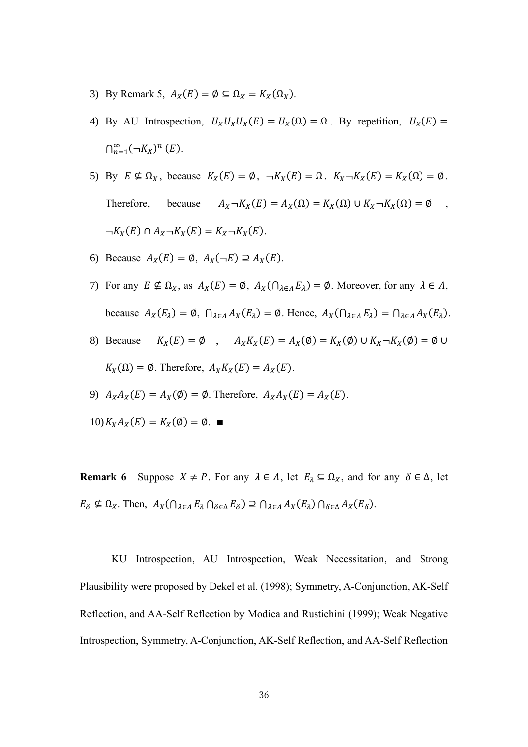- 3) By Remark 5,  $A_X(E) = \emptyset \subseteq \Omega_X = K_X(\Omega_X)$ .
- 4) By AU Introspection,  $U_X U_X U_X (E) = U_X(\Omega) = \Omega$ . By repetition,  $U_X(E) =$  $\bigcap_{n=1}^{\infty}(\neg K_X)^n(E).$
- 5) By  $E \nsubseteq \Omega_X$ , because  $K_X(E) = \emptyset$ ,  $\neg K_X(E) = \Omega$ .  $K_X \neg K_X(E) = K_X(\Omega) = \emptyset$ . Therefore, because  $A_X \neg K_X(E) = A_X(\Omega) = K_X(\Omega) \cup K_X \neg K_X(\Omega) = \emptyset$ ,  $\neg K_X(E) \cap A_X \neg K_X(E) = K_X \neg K_X(E).$
- 6) Because  $A_X(E) = \emptyset$ ,  $A_X(\neg E) \supseteq A_X(E)$ .
- 7) For any  $E \nsubseteq \Omega_X$ , as  $A_X(E) = \emptyset$ ,  $A_X(\bigcap_{\lambda \in \Lambda} E_\lambda) = \emptyset$ . Moreover, for any  $\lambda \in \Lambda$ , because  $A_X(E_\lambda) = \emptyset$ ,  $\bigcap_{\lambda \in \Lambda} A_X(E_\lambda) = \emptyset$ . Hence,  $A_X(\bigcap_{\lambda \in \Lambda} E_\lambda) = \bigcap_{\lambda \in \Lambda} A_X(E_\lambda)$ .
- 8) Because  $K_X(E) = \emptyset$ ,  $A_X K_X(E) = A_X(\emptyset) = K_X(\emptyset) \cup K_X \neg K_X(\emptyset) = \emptyset \cup$  $K_X(\Omega) = \emptyset$ . Therefore,  $A_X K_X(E) = A_X(E)$ .
- 9)  $A_XA_X(E) = A_X(\emptyset) = \emptyset$ . Therefore,  $A_XA_X(E) = A_X(E)$ .

$$
10) K_X A_X(E) = K_X(\emptyset) = \emptyset. \quad \blacksquare
$$

**Remark 6** Suppose  $X \neq P$ . For any  $\lambda \in \Lambda$ , let  $E_{\lambda} \subseteq \Omega_X$ , and for any  $\delta \in \Delta$ , let  $E_{\delta} \nsubseteq \Omega_X$ . Then,  $A_X(\bigcap_{\lambda \in \Lambda} E_{\lambda} \bigcap_{\delta \in \Delta} E_{\delta}) \supseteq \bigcap_{\lambda \in \Lambda} A_X(E_{\lambda}) \bigcap_{\delta \in \Delta} A_X(E_{\delta})$ .

 KU Introspection, AU Introspection, Weak Necessitation, and Strong Plausibility were proposed by Dekel et al. (1998); Symmetry, A-Conjunction, AK-Self Reflection, and AA-Self Reflection by Modica and Rustichini (1999); Weak Negative Introspection, Symmetry, A-Conjunction, AK-Self Reflection, and AA-Self Reflection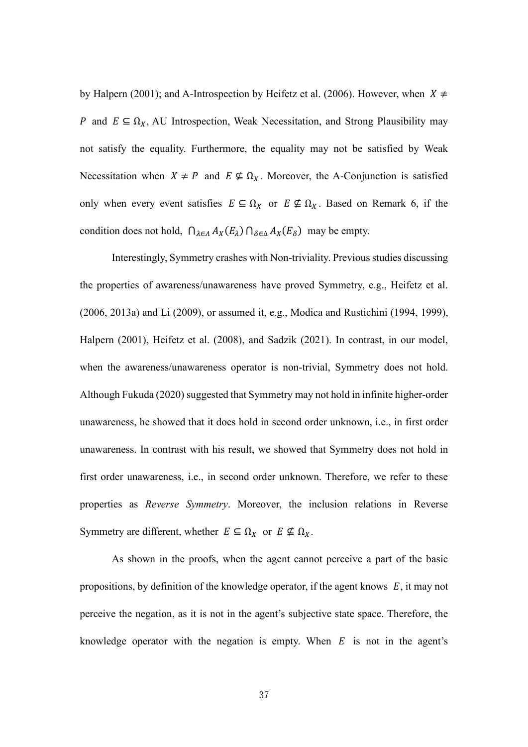by Halpern (2001); and A-Introspection by Heifetz et al. (2006). However, when  $X \neq$ P and  $E \subseteq \Omega_X$ , AU Introspection, Weak Necessitation, and Strong Plausibility may not satisfy the equality. Furthermore, the equality may not be satisfied by Weak Necessitation when  $X \neq P$  and  $E \nsubseteq \Omega_X$ . Moreover, the A-Conjunction is satisfied only when every event satisfies  $E \subseteq \Omega_X$  or  $E \nsubseteq \Omega_X$ . Based on Remark 6, if the condition does not hold,  $\bigcap_{\lambda \in A} A_X(E_\lambda) \bigcap_{\delta \in \Delta} A_X(E_\delta)$  may be empty.

 Interestingly, Symmetry crashes with Non-triviality. Previous studies discussing the properties of awareness/unawareness have proved Symmetry, e.g., Heifetz et al. (2006, 2013a) and Li (2009), or assumed it, e.g., Modica and Rustichini (1994, 1999), Halpern (2001), Heifetz et al. (2008), and Sadzik (2021). In contrast, in our model, when the awareness/unawareness operator is non-trivial, Symmetry does not hold. Although Fukuda (2020) suggested that Symmetry may not hold in infinite higher-order unawareness, he showed that it does hold in second order unknown, i.e., in first order unawareness. In contrast with his result, we showed that Symmetry does not hold in first order unawareness, i.e., in second order unknown. Therefore, we refer to these properties as *Reverse Symmetry*. Moreover, the inclusion relations in Reverse Symmetry are different, whether  $E \subseteq \Omega_X$  or  $E \nsubseteq \Omega_X$ .

 As shown in the proofs, when the agent cannot perceive a part of the basic propositions, by definition of the knowledge operator, if the agent knows  $E$ , it may not perceive the negation, as it is not in the agent's subjective state space. Therefore, the knowledge operator with the negation is empty. When  $E$  is not in the agent's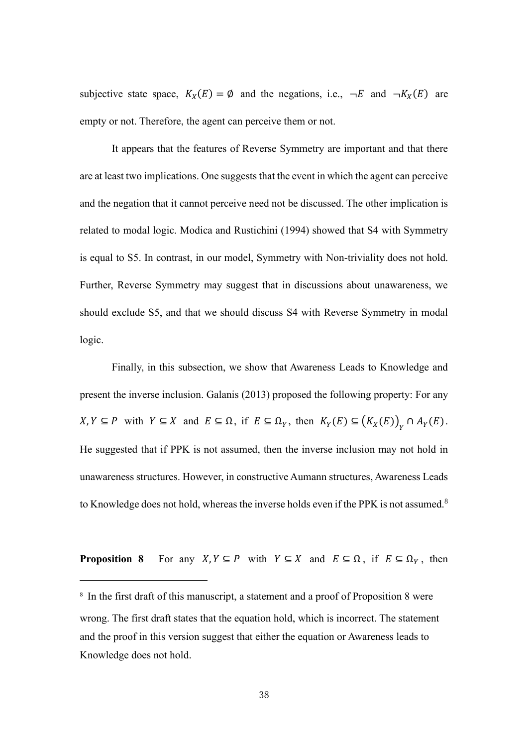subjective state space,  $K_X(E) = \emptyset$  and the negations, i.e.,  $\neg E$  and  $\neg K_X(E)$  are empty or not. Therefore, the agent can perceive them or not.

 It appears that the features of Reverse Symmetry are important and that there are at least two implications. One suggests that the event in which the agent can perceive and the negation that it cannot perceive need not be discussed. The other implication is related to modal logic. Modica and Rustichini (1994) showed that S4 with Symmetry is equal to S5. In contrast, in our model, Symmetry with Non-triviality does not hold. Further, Reverse Symmetry may suggest that in discussions about unawareness, we should exclude S5, and that we should discuss S4 with Reverse Symmetry in modal logic.

 Finally, in this subsection, we show that Awareness Leads to Knowledge and present the inverse inclusion. Galanis (2013) proposed the following property: For any  $X, Y \subseteq P$  with  $Y \subseteq X$  and  $E \subseteq \Omega$ , if  $E \subseteq \Omega_Y$ , then  $K_Y(E) \subseteq (K_X(E))_Y \cap A_Y(E)$ . He suggested that if PPK is not assumed, then the inverse inclusion may not hold in unawareness structures. However, in constructive Aumann structures, Awareness Leads to Knowledge does not hold, whereas the inverse holds even if the PPK is not assumed.<sup>8</sup>

**Proposition 8** For any  $X, Y \subseteq P$  with  $Y \subseteq X$  and  $E \subseteq \Omega$ , if  $E \subseteq \Omega_Y$ , then

<sup>&</sup>lt;sup>8</sup> In the first draft of this manuscript, a statement and a proof of Proposition 8 were wrong. The first draft states that the equation hold, which is incorrect. The statement and the proof in this version suggest that either the equation or Awareness leads to Knowledge does not hold.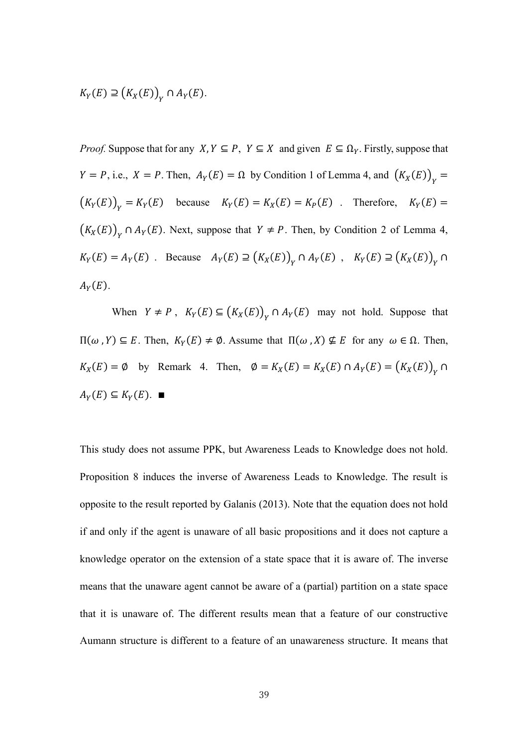$$
K_Y(E) \supseteq (K_X(E))_Y \cap A_Y(E).
$$

*Proof.* Suppose that for any  $X, Y \subseteq P$ ,  $Y \subseteq X$  and given  $E \subseteq \Omega_Y$ . Firstly, suppose that  $Y = P$ , i.e.,  $X = P$ . Then,  $A_Y(E) = \Omega$  by Condition 1 of Lemma 4, and  $(K_X(E))_Y =$  $(K_Y(E))_Y = K_Y(E)$  because  $K_Y(E) = K_X(E) = K_P(E)$ . Therefore,  $K_Y(E) =$  $(K_X(E))_Y \cap A_Y(E)$ . Next, suppose that  $Y \neq P$ . Then, by Condition 2 of Lemma 4,  $K_Y(E) = A_Y(E)$ . Because  $A_Y(E) \supseteq (K_X(E))_Y \cap A_Y(E)$ ,  $K_Y(E) \supseteq (K_X(E))_Y \cap$  $A_Y(E)$ .

When  $Y \neq P$ ,  $K_Y(E) \subseteq (K_X(E))_Y \cap A_Y(E)$  may not hold. Suppose that  $\Pi(\omega, Y)$  ⊆ *E*. Then,  $K_Y(E) \neq \emptyset$ . Assume that  $\Pi(\omega, X) \nsubseteq E$  for any  $\omega \in \Omega$ . Then,  $K_X(E) = \emptyset$  by Remark 4. Then,  $\emptyset = K_X(E) = K_X(E) \cap A_Y(E) = (K_X(E))_Y \cap$  $A_Y(E) \subseteq K_Y(E)$ . ■

This study does not assume PPK, but Awareness Leads to Knowledge does not hold. Proposition 8 induces the inverse of Awareness Leads to Knowledge. The result is opposite to the result reported by Galanis (2013). Note that the equation does not hold if and only if the agent is unaware of all basic propositions and it does not capture a knowledge operator on the extension of a state space that it is aware of. The inverse means that the unaware agent cannot be aware of a (partial) partition on a state space that it is unaware of. The different results mean that a feature of our constructive Aumann structure is different to a feature of an unawareness structure. It means that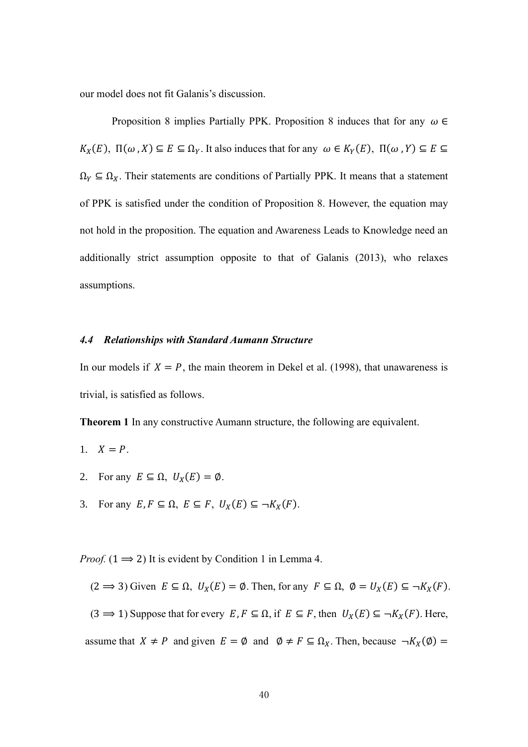our model does not fit Galanis's discussion.

Proposition 8 implies Partially PPK. Proposition 8 induces that for any  $\omega \in$  $K_X(E)$ ,  $\Pi(\omega, X) \subseteq E \subseteq \Omega_Y$ . It also induces that for any  $\omega \in K_Y(E)$ ,  $\Pi(\omega, Y) \subseteq E \subseteq$  $\Omega_Y \subseteq \Omega_X$ . Their statements are conditions of Partially PPK. It means that a statement of PPK is satisfied under the condition of Proposition 8. However, the equation may not hold in the proposition. The equation and Awareness Leads to Knowledge need an additionally strict assumption opposite to that of Galanis (2013), who relaxes assumptions.

#### *4.4 Relationships with Standard Aumann Structure*

In our models if  $X = P$ , the main theorem in Dekel et al. (1998), that unawareness is trivial, is satisfied as follows.

**Theorem 1** In any constructive Aumann structure, the following are equivalent.

- 1.  $X = P$ .
- 2. For any  $E \subseteq \Omega$ ,  $U_X(E) = \emptyset$ .
- 3. For any  $E, F \subseteq \Omega$ ,  $E \subseteq F$ ,  $U_X(E) \subseteq \neg K_X(F)$ .

*Proof.*  $(1 \implies 2)$  It is evident by Condition 1 in Lemma 4.

 $(2 \implies 3)$  Given  $E \subseteq \Omega$ ,  $U_X(E) = \emptyset$ . Then, for any  $F \subseteq \Omega$ ,  $\emptyset = U_X(E) \subseteq \neg K_X(F)$ .  $(3 \implies 1)$  Suppose that for every  $E, F \subseteq \Omega$ , if  $E \subseteq F$ , then  $U_X(E) \subseteq \neg K_X(F)$ . Here, assume that  $X \neq P$  and given  $E = \emptyset$  and  $\emptyset \neq F \subseteq \Omega_X$ . Then, because  $\neg K_X(\emptyset) =$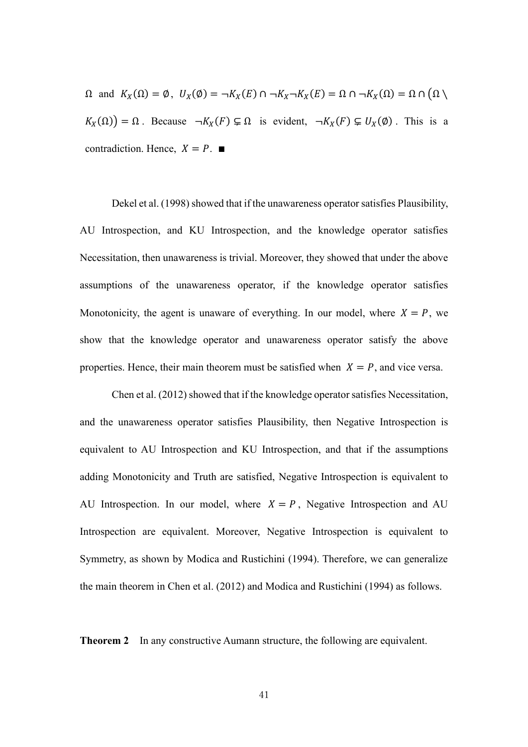$\Omega$  and  $K_X(\Omega) = \emptyset$ ,  $U_X(\emptyset) = \neg K_X(E) \cap \neg K_X \neg K_X(E) = \Omega \cap \neg K_X(\Omega) = \Omega \cap (\Omega \setminus$  $K_X(\Omega) = \Omega$ . Because  $\neg K_X(F) \subsetneq \Omega$  is evident,  $\neg K_X(F) \subsetneq U_X(\emptyset)$ . This is a contradiction. Hence,  $X = P$ . ■

Dekel et al. (1998) showed that if the unawareness operator satisfies Plausibility, AU Introspection, and KU Introspection, and the knowledge operator satisfies Necessitation, then unawareness is trivial. Moreover, they showed that under the above assumptions of the unawareness operator, if the knowledge operator satisfies Monotonicity, the agent is unaware of everything. In our model, where  $X = P$ , we show that the knowledge operator and unawareness operator satisfy the above properties. Hence, their main theorem must be satisfied when  $X = P$ , and vice versa.

 Chen et al. (2012) showed that if the knowledge operator satisfies Necessitation, and the unawareness operator satisfies Plausibility, then Negative Introspection is equivalent to AU Introspection and KU Introspection, and that if the assumptions adding Monotonicity and Truth are satisfied, Negative Introspection is equivalent to AU Introspection. In our model, where  $X = P$ , Negative Introspection and AU Introspection are equivalent. Moreover, Negative Introspection is equivalent to Symmetry, as shown by Modica and Rustichini (1994). Therefore, we can generalize the main theorem in Chen et al. (2012) and Modica and Rustichini (1994) as follows.

**Theorem 2** In any constructive Aumann structure, the following are equivalent.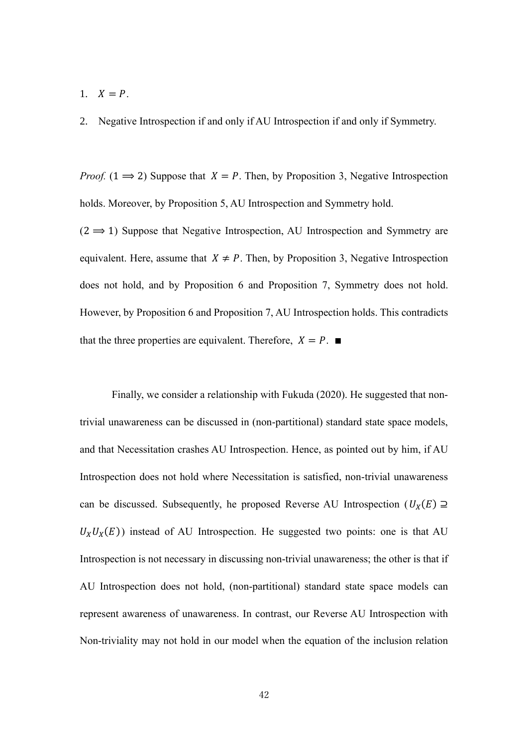1.  $X = P$ .

2. Negative Introspection if and only if AU Introspection if and only if Symmetry.

*Proof.* (1  $\Rightarrow$  2) Suppose that  $X = P$ . Then, by Proposition 3, Negative Introspection holds. Moreover, by Proposition 5, AU Introspection and Symmetry hold.

 $(2 \implies 1)$  Suppose that Negative Introspection, AU Introspection and Symmetry are equivalent. Here, assume that  $X \neq P$ . Then, by Proposition 3, Negative Introspection does not hold, and by Proposition 6 and Proposition 7, Symmetry does not hold. However, by Proposition 6 and Proposition 7, AU Introspection holds. This contradicts that the three properties are equivalent. Therefore,  $X = P$ .

 Finally, we consider a relationship with Fukuda (2020). He suggested that nontrivial unawareness can be discussed in (non-partitional) standard state space models, and that Necessitation crashes AU Introspection. Hence, as pointed out by him, if AU Introspection does not hold where Necessitation is satisfied, non-trivial unawareness can be discussed. Subsequently, he proposed Reverse AU Introspection ( $U_X(E) \supseteq$  $U_xU_x(E)$  instead of AU Introspection. He suggested two points: one is that AU Introspection is not necessary in discussing non-trivial unawareness; the other is that if AU Introspection does not hold, (non-partitional) standard state space models can represent awareness of unawareness. In contrast, our Reverse AU Introspection with Non-triviality may not hold in our model when the equation of the inclusion relation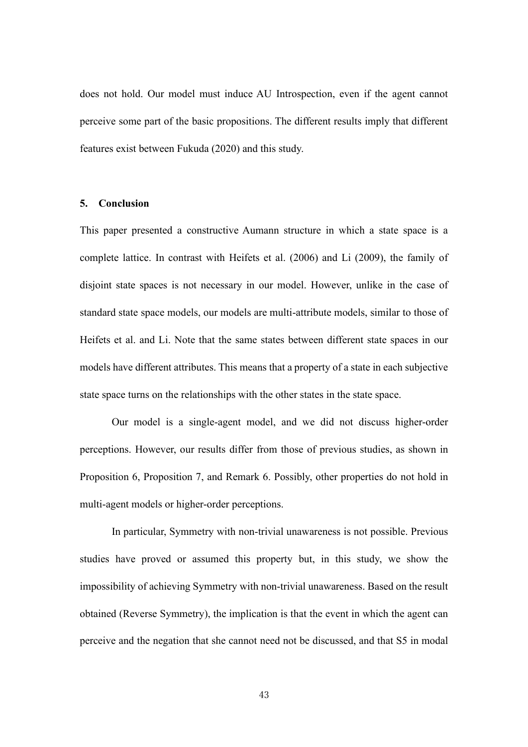does not hold. Our model must induce AU Introspection, even if the agent cannot perceive some part of the basic propositions. The different results imply that different features exist between Fukuda (2020) and this study.

## **5. Conclusion**

This paper presented a constructive Aumann structure in which a state space is a complete lattice. In contrast with Heifets et al. (2006) and Li (2009), the family of disjoint state spaces is not necessary in our model. However, unlike in the case of standard state space models, our models are multi-attribute models, similar to those of Heifets et al. and Li. Note that the same states between different state spaces in our models have different attributes. This means that a property of a state in each subjective state space turns on the relationships with the other states in the state space.

 Our model is a single-agent model, and we did not discuss higher-order perceptions. However, our results differ from those of previous studies, as shown in Proposition 6, Proposition 7, and Remark 6. Possibly, other properties do not hold in multi-agent models or higher-order perceptions.

 In particular, Symmetry with non-trivial unawareness is not possible. Previous studies have proved or assumed this property but, in this study, we show the impossibility of achieving Symmetry with non-trivial unawareness. Based on the result obtained (Reverse Symmetry), the implication is that the event in which the agent can perceive and the negation that she cannot need not be discussed, and that S5 in modal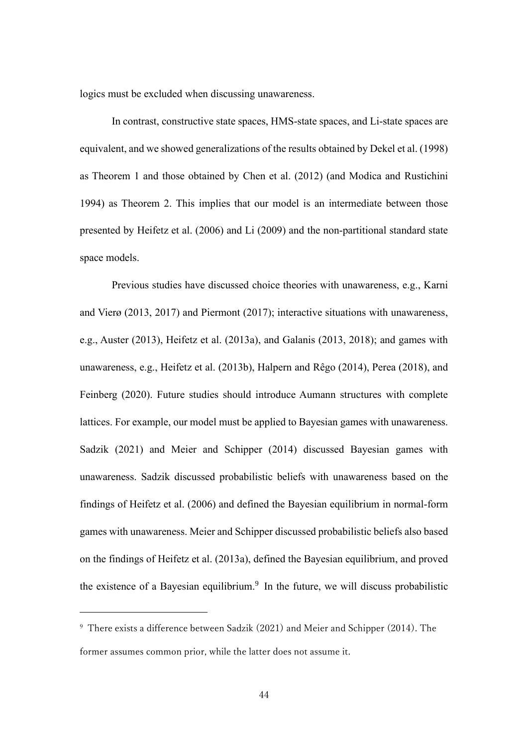logics must be excluded when discussing unawareness.

 In contrast, constructive state spaces, HMS-state spaces, and Li-state spaces are equivalent, and we showed generalizations of the results obtained by Dekel et al. (1998) as Theorem 1 and those obtained by Chen et al. (2012) (and Modica and Rustichini 1994) as Theorem 2. This implies that our model is an intermediate between those presented by Heifetz et al. (2006) and Li (2009) and the non-partitional standard state space models.

 Previous studies have discussed choice theories with unawareness, e.g., Karni and Vierø (2013, 2017) and Piermont (2017); interactive situations with unawareness, e.g., Auster (2013), Heifetz et al. (2013a), and Galanis (2013, 2018); and games with unawareness, e.g., Heifetz et al. (2013b), Halpern and Rêgo (2014), Perea (2018), and Feinberg (2020). Future studies should introduce Aumann structures with complete lattices. For example, our model must be applied to Bayesian games with unawareness. Sadzik (2021) and Meier and Schipper (2014) discussed Bayesian games with unawareness. Sadzik discussed probabilistic beliefs with unawareness based on the findings of Heifetz et al. (2006) and defined the Bayesian equilibrium in normal-form games with unawareness. Meier and Schipper discussed probabilistic beliefs also based on the findings of Heifetz et al. (2013a), defined the Bayesian equilibrium, and proved the existence of a Bayesian equilibrium. 9 In the future, we will discuss probabilistic

<sup>9</sup> There exists a difference between Sadzik (2021) and Meier and Schipper (2014). The former assumes common prior, while the latter does not assume it.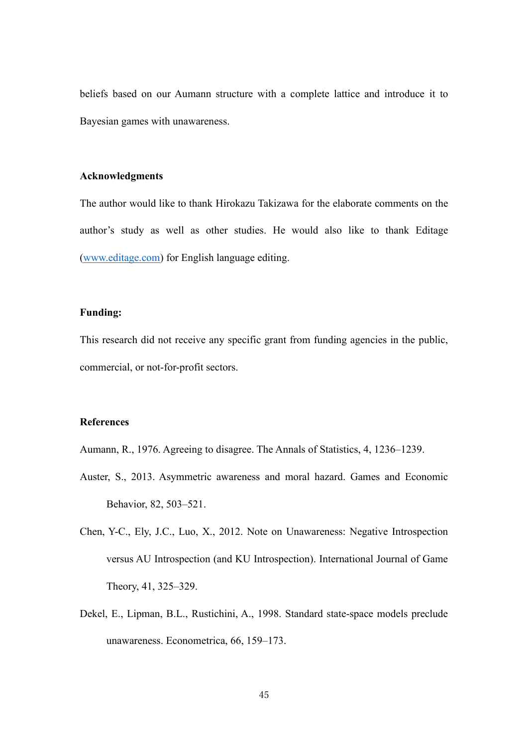beliefs based on our Aumann structure with a complete lattice and introduce it to Bayesian games with unawareness.

## **Acknowledgments**

The author would like to thank Hirokazu Takizawa for the elaborate comments on the author's study as well as other studies. He would also like to thank Editage [\(www.editage.com\)](http://www.editage.com/) for English language editing.

## **Funding:**

This research did not receive any specific grant from funding agencies in the public, commercial, or not-for-profit sectors.

# **References**

Aumann, R., 1976. Agreeing to disagree. The Annals of Statistics, 4, 1236–1239.

- Auster, S., 2013. Asymmetric awareness and moral hazard. Games and Economic Behavior, 82, 503–521.
- Chen, Y-C., Ely, J.C., Luo, X., 2012. Note on Unawareness: Negative Introspection versus AU Introspection (and KU Introspection). International Journal of Game Theory, 41, 325–329.
- Dekel, E., Lipman, B.L., Rustichini, A., 1998. Standard state-space models preclude unawareness. Econometrica, 66, 159–173.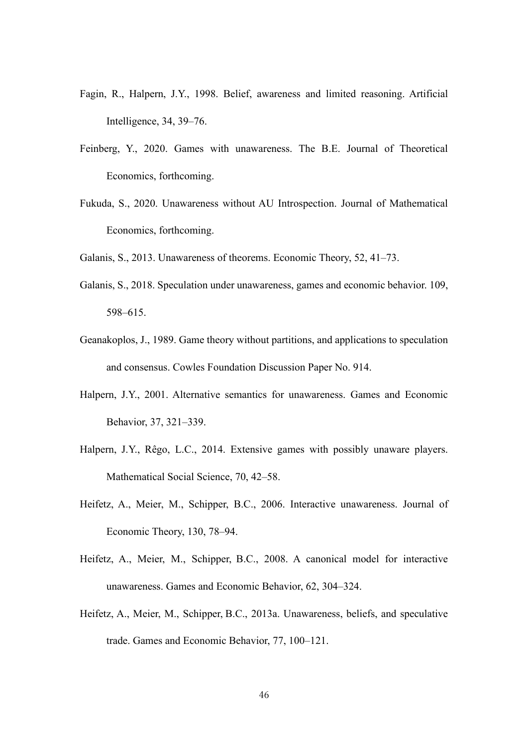- Fagin, R., Halpern, J.Y., 1998. Belief, awareness and limited reasoning. Artificial Intelligence, 34, 39–76.
- Feinberg, Y., 2020. Games with unawareness. The B.E. Journal of Theoretical Economics, forthcoming.
- Fukuda, S., 2020. Unawareness without AU Introspection. Journal of Mathematical Economics, forthcoming.
- Galanis, S., 2013. Unawareness of theorems. Economic Theory, 52, 41–73.
- Galanis, S., 2018. Speculation under unawareness, games and economic behavior. 109, 598–615.
- Geanakoplos, J., 1989. Game theory without partitions, and applications to speculation and consensus. Cowles Foundation Discussion Paper No. 914.
- Halpern, J.Y., 2001. Alternative semantics for unawareness. Games and Economic Behavior, 37, 321–339.
- Halpern, J.Y., Rêgo, L.C., 2014. Extensive games with possibly unaware players. Mathematical Social Science, 70, 42–58.
- Heifetz, A., Meier, M., Schipper, B.C., 2006. Interactive unawareness. Journal of Economic Theory, 130, 78–94.
- Heifetz, A., Meier, M., Schipper, B.C., 2008. A canonical model for interactive unawareness. Games and Economic Behavior, 62, 304–324.
- Heifetz, A., Meier, M., Schipper, B.C., 2013a. Unawareness, beliefs, and speculative trade. Games and Economic Behavior, 77, 100–121.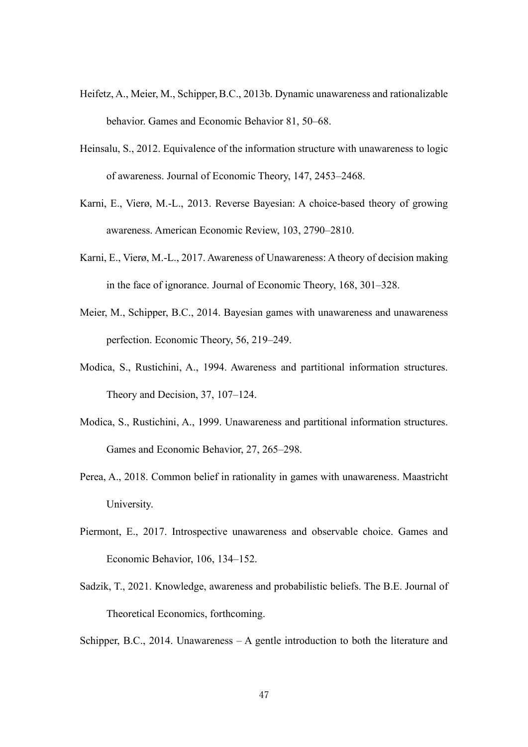- Heifetz, A., Meier, M., Schipper,B.C., 2013b. Dynamic unawareness and rationalizable behavior. Games and Economic Behavior 81, 50–68.
- Heinsalu, S., 2012. Equivalence of the information structure with unawareness to logic of awareness. Journal of Economic Theory, 147, 2453–2468.
- Karni, E., Vierø, M.-L., 2013. Reverse Bayesian: A choice-based theory of growing awareness. American Economic Review, 103, 2790–2810.
- Karni, E., Vierø, M.-L., 2017. Awareness of Unawareness: A theory of decision making in the face of ignorance. Journal of Economic Theory, 168, 301–328.
- Meier, M., Schipper, B.C., 2014. Bayesian games with unawareness and unawareness perfection. Economic Theory, 56, 219–249.
- Modica, S., Rustichini, A., 1994. Awareness and partitional information structures. Theory and Decision, 37, 107–124.
- Modica, S., Rustichini, A., 1999. Unawareness and partitional information structures. Games and Economic Behavior, 27, 265–298.
- Perea, A., 2018. Common belief in rationality in games with unawareness. Maastricht University.
- Piermont, E., 2017. Introspective unawareness and observable choice. Games and Economic Behavior, 106, 134–152.
- Sadzik, T., 2021. Knowledge, awareness and probabilistic beliefs. The B.E. Journal of Theoretical Economics, forthcoming.

Schipper, B.C., 2014. Unawareness – A gentle introduction to both the literature and